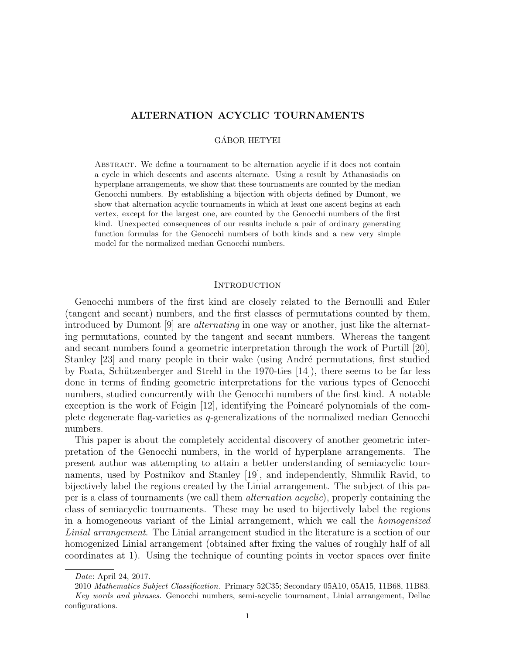# ALTERNATION ACYCLIC TOURNAMENTS

## GÁBOR HETYEI

Abstract. We define a tournament to be alternation acyclic if it does not contain a cycle in which descents and ascents alternate. Using a result by Athanasiadis on hyperplane arrangements, we show that these tournaments are counted by the median Genocchi numbers. By establishing a bijection with objects defined by Dumont, we show that alternation acyclic tournaments in which at least one ascent begins at each vertex, except for the largest one, are counted by the Genocchi numbers of the first kind. Unexpected consequences of our results include a pair of ordinary generating function formulas for the Genocchi numbers of both kinds and a new very simple model for the normalized median Genocchi numbers.

## **INTRODUCTION**

Genocchi numbers of the first kind are closely related to the Bernoulli and Euler (tangent and secant) numbers, and the first classes of permutations counted by them, introduced by Dumont [9] are alternating in one way or another, just like the alternating permutations, counted by the tangent and secant numbers. Whereas the tangent and secant numbers found a geometric interpretation through the work of Purtill [20], Stanley [23] and many people in their wake (using André permutations, first studied by Foata, Schützenberger and Strehl in the 1970-ties  $[14]$ , there seems to be far less done in terms of finding geometric interpretations for the various types of Genocchi numbers, studied concurrently with the Genocchi numbers of the first kind. A notable exception is the work of Feigin  $[12]$ , identifying the Poincaré polynomials of the complete degenerate flag-varieties as q-generalizations of the normalized median Genocchi numbers.

This paper is about the completely accidental discovery of another geometric interpretation of the Genocchi numbers, in the world of hyperplane arrangements. The present author was attempting to attain a better understanding of semiacyclic tournaments, used by Postnikov and Stanley [19], and independently, Shmulik Ravid, to bijectively label the regions created by the Linial arrangement. The subject of this paper is a class of tournaments (we call them alternation acyclic), properly containing the class of semiacyclic tournaments. These may be used to bijectively label the regions in a homogeneous variant of the Linial arrangement, which we call the homogenized Linial arrangement. The Linial arrangement studied in the literature is a section of our homogenized Linial arrangement (obtained after fixing the values of roughly half of all coordinates at 1). Using the technique of counting points in vector spaces over finite

Date: April 24, 2017.

<sup>2010</sup> Mathematics Subject Classification. Primary 52C35; Secondary 05A10, 05A15, 11B68, 11B83. Key words and phrases. Genocchi numbers, semi-acyclic tournament, Linial arrangement, Dellac configurations.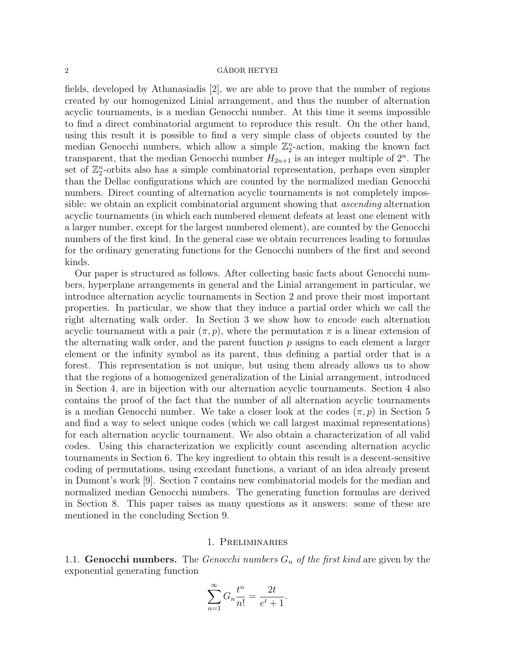### $\alpha$  GÁBOR HETYEI

fields, developed by Athanasiadis [2], we are able to prove that the number of regions created by our homogenized Linial arrangement, and thus the number of alternation acyclic tournaments, is a median Genocchi number. At this time it seems impossible to find a direct combinatorial argument to reproduce this result. On the other hand, using this result it is possible to find a very simple class of objects counted by the median Genocchi numbers, which allow a simple  $\mathbb{Z}_2^n$ -action, making the known fact transparent, that the median Genocchi number  $H_{2n+1}$  is an integer multiple of  $2^n$ . The set of  $\mathbb{Z}_2^n$ -orbits also has a simple combinatorial representation, perhaps even simpler than the Dellac configurations which are counted by the normalized median Genocchi numbers. Direct counting of alternation acyclic tournaments is not completely impossible: we obtain an explicit combinatorial argument showing that ascending alternation acyclic tournaments (in which each numbered element defeats at least one element with a larger number, except for the largest numbered element), are counted by the Genocchi numbers of the first kind. In the general case we obtain recurrences leading to formulas for the ordinary generating functions for the Genocchi numbers of the first and second kinds.

Our paper is structured as follows. After collecting basic facts about Genocchi numbers, hyperplane arrangements in general and the Linial arrangement in particular, we introduce alternation acyclic tournaments in Section 2 and prove their most important properties. In particular, we show that they induce a partial order which we call the right alternating walk order. In Section 3 we show how to encode each alternation acyclic tournament with a pair  $(\pi, p)$ , where the permutation  $\pi$  is a linear extension of the alternating walk order, and the parent function  $p$  assigns to each element a larger element or the infinity symbol as its parent, thus defining a partial order that is a forest. This representation is not unique, but using them already allows us to show that the regions of a homogenized generalization of the Linial arrangement, introduced in Section 4, are in bijection with our alternation acyclic tournaments. Section 4 also contains the proof of the fact that the number of all alternation acyclic tournaments is a median Genocchi number. We take a closer look at the codes  $(\pi, p)$  in Section 5 and find a way to select unique codes (which we call largest maximal representations) for each alternation acyclic tournament. We also obtain a characterization of all valid codes. Using this characterization we explicitly count ascending alternation acyclic tournaments in Section 6. The key ingredient to obtain this result is a descent-sensitive coding of permutations, using excedant functions, a variant of an idea already present in Dumont's work [9]. Section 7 contains new combinatorial models for the median and normalized median Genocchi numbers. The generating function formulas are derived in Section 8. This paper raises as many questions as it answers: some of these are mentioned in the concluding Section 9.

## 1. Preliminaries

1.1. Genocchi numbers. The Genocchi numbers  $G_n$  of the first kind are given by the exponential generating function

$$
\sum_{n=1}^{\infty} G_n \frac{t^n}{n!} = \frac{2t}{e^t + 1}.
$$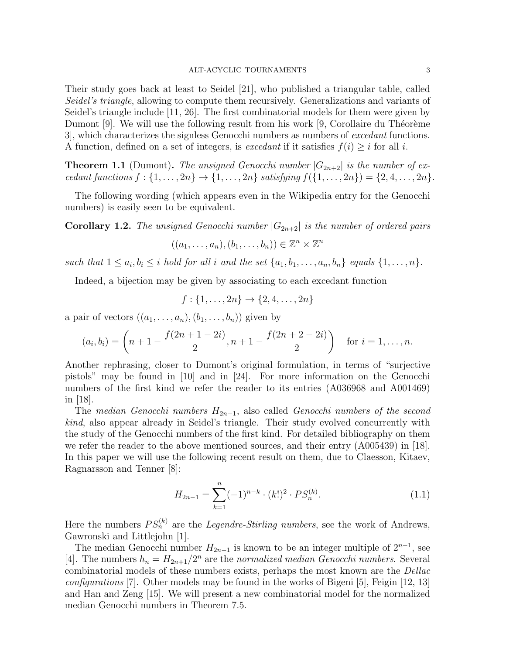#### ALT-ACYCLIC TOURNAMENTS 3

Their study goes back at least to Seidel [21], who published a triangular table, called Seidel's triangle, allowing to compute them recursively. Generalizations and variants of Seidel's triangle include [11, 26]. The first combinatorial models for them were given by Dumont  $[9]$ . We will use the following result from his work  $[9]$ , Corollaire du Théorème 3], which characterizes the signless Genocchi numbers as numbers of excedant functions. A function, defined on a set of integers, is excedant if it satisfies  $f(i) \geq i$  for all i.

**Theorem 1.1** (Dumont). The unsigned Genocchi number  $|G_{2n+2}|$  is the number of excedant functions  $f: \{1, ..., 2n\} \to \{1, ..., 2n\}$  satisfying  $f(\{1, ..., 2n\}) = \{2, 4, ..., 2n\}.$ 

The following wording (which appears even in the Wikipedia entry for the Genocchi numbers) is easily seen to be equivalent.

**Corollary 1.2.** The unsigned Genocchi number  $|G_{2n+2}|$  is the number of ordered pairs

$$
((a_1,\ldots,a_n),(b_1,\ldots,b_n))\in\mathbb{Z}^n\times\mathbb{Z}^n
$$

such that  $1 \leq a_i, b_i \leq i$  hold for all i and the set  $\{a_1, b_1, \ldots, a_n, b_n\}$  equals  $\{1, \ldots, n\}$ .

Indeed, a bijection may be given by associating to each excedant function

$$
f: \{1, \ldots, 2n\} \to \{2, 4, \ldots, 2n\}
$$

a pair of vectors  $((a_1, \ldots, a_n), (b_1, \ldots, b_n))$  given by

$$
(a_i, b_i) = \left(n + 1 - \frac{f(2n + 1 - 2i)}{2}, n + 1 - \frac{f(2n + 2 - 2i)}{2}\right) \text{ for } i = 1, \dots, n.
$$

Another rephrasing, closer to Dumont's original formulation, in terms of "surjective pistols" may be found in [10] and in [24]. For more information on the Genocchi numbers of the first kind we refer the reader to its entries (A036968 and A001469) in [18].

The median Genocchi numbers  $H_{2n-1}$ , also called Genocchi numbers of the second kind, also appear already in Seidel's triangle. Their study evolved concurrently with the study of the Genocchi numbers of the first kind. For detailed bibliography on them we refer the reader to the above mentioned sources, and their entry (A005439) in [18]. In this paper we will use the following recent result on them, due to Claesson, Kitaev, Ragnarsson and Tenner [8]:

$$
H_{2n-1} = \sum_{k=1}^{n} (-1)^{n-k} \cdot (k!)^2 \cdot PS_n^{(k)}.
$$
 (1.1)

Here the numbers  $PS_n^{(k)}$  are the *Legendre-Stirling numbers*, see the work of Andrews, Gawronski and Littlejohn [1].

The median Genocchi number  $H_{2n-1}$  is known to be an integer multiple of  $2^{n-1}$ , see [4]. The numbers  $h_n = H_{2n+1}/2^n$  are the normalized median Genocchi numbers. Several combinatorial models of these numbers exists, perhaps the most known are the Dellac configurations [7]. Other models may be found in the works of Bigeni [5], Feigin [12, 13] and Han and Zeng [15]. We will present a new combinatorial model for the normalized median Genocchi numbers in Theorem 7.5.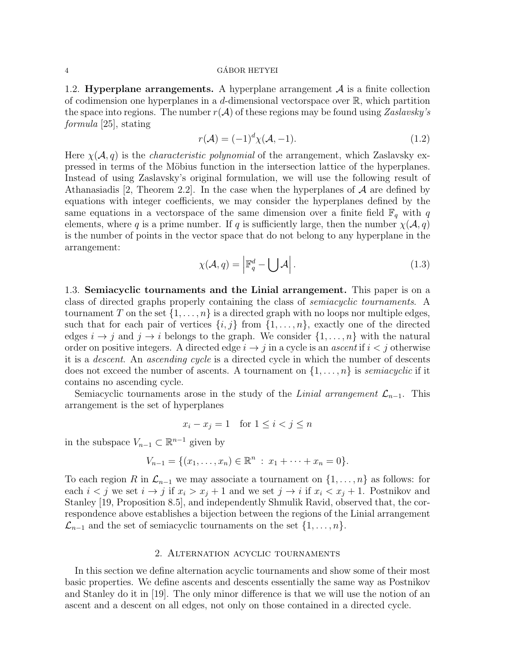## 4 GABOR HETYEI ´

1.2. **Hyperplane arrangements.** A hyperplane arrangement  $A$  is a finite collection of codimension one hyperplanes in a d-dimensional vectorspace over  $\mathbb{R}$ , which partition the space into regions. The number  $r(\mathcal{A})$  of these regions may be found using Zaslavsky's formula [25], stating

$$
r(\mathcal{A}) = (-1)^d \chi(\mathcal{A}, -1). \tag{1.2}
$$

Here  $\chi(\mathcal{A}, q)$  is the *characteristic polynomial* of the arrangement, which Zaslavsky expressed in terms of the Möbius function in the intersection lattice of the hyperplanes. Instead of using Zaslavsky's original formulation, we will use the following result of Athanasiadis [2, Theorem 2.2]. In the case when the hyperplanes of  $A$  are defined by equations with integer coefficients, we may consider the hyperplanes defined by the same equations in a vectorspace of the same dimension over a finite field  $\mathbb{F}_q$  with q elements, where q is a prime number. If q is sufficiently large, then the number  $\chi(\mathcal{A}, q)$ is the number of points in the vector space that do not belong to any hyperplane in the arrangement:

$$
\chi(\mathcal{A}, q) = \left| \mathbb{F}_q^d - \bigcup \mathcal{A} \right|.
$$
 (1.3)

1.3. Semiacyclic tournaments and the Linial arrangement. This paper is on a class of directed graphs properly containing the class of semiacyclic tournaments. A tournament T on the set  $\{1, \ldots, n\}$  is a directed graph with no loops nor multiple edges, such that for each pair of vertices  $\{i, j\}$  from  $\{1, \ldots, n\}$ , exactly one of the directed edges  $i \to j$  and  $j \to i$  belongs to the graph. We consider  $\{1, \ldots, n\}$  with the natural order on positive integers. A directed edge  $i \rightarrow j$  in a cycle is an *ascent* if  $i < j$  otherwise it is a descent. An ascending cycle is a directed cycle in which the number of descents does not exceed the number of ascents. A tournament on  $\{1, \ldots, n\}$  is *semiacyclic* if it contains no ascending cycle.

Semiacyclic tournaments arose in the study of the Linial arrangement  $\mathcal{L}_{n-1}$ . This arrangement is the set of hyperplanes

$$
x_i - x_j = 1 \quad \text{for } 1 \le i < j \le n
$$

in the subspace  $V_{n-1} \subset \mathbb{R}^{n-1}$  given by

$$
V_{n-1} = \{(x_1, \ldots, x_n) \in \mathbb{R}^n : x_1 + \cdots + x_n = 0\}.
$$

To each region R in  $\mathcal{L}_{n-1}$  we may associate a tournament on  $\{1,\ldots,n\}$  as follows: for each  $i < j$  we set  $i \to j$  if  $x_i > x_j + 1$  and we set  $j \to i$  if  $x_i < x_j + 1$ . Postnikov and Stanley [19, Proposition 8.5], and independently Shmulik Ravid, observed that, the correspondence above establishes a bijection between the regions of the Linial arrangement  $\mathcal{L}_{n-1}$  and the set of semiacyclic tournaments on the set  $\{1, \ldots, n\}.$ 

## 2. Alternation acyclic tournaments

In this section we define alternation acyclic tournaments and show some of their most basic properties. We define ascents and descents essentially the same way as Postnikov and Stanley do it in [19]. The only minor difference is that we will use the notion of an ascent and a descent on all edges, not only on those contained in a directed cycle.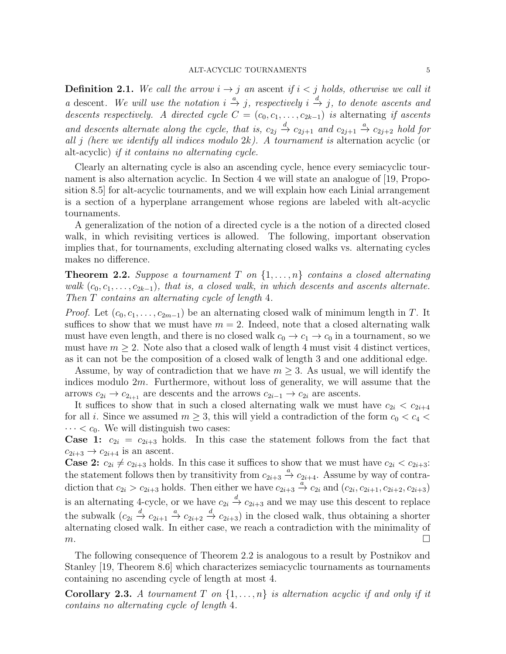**Definition 2.1.** We call the arrow  $i \rightarrow j$  an ascent if  $i < j$  holds, otherwise we call it a descent. We will use the notation  $i \stackrel{a}{\to} j$ , respectively  $i \stackrel{d}{\to} j$ , to denote ascents and descents respectively. A directed cycle  $C = (c_0, c_1, \ldots, c_{2k-1})$  is alternating if ascents and descents alternate along the cycle, that is,  $c_{2j} \stackrel{d}{\rightarrow} c_{2j+1}$  and  $c_{2j+1} \stackrel{a}{\rightarrow} c_{2j+2}$  hold for all j (here we identify all indices modulo  $2k$ ). A tournament is alternation acyclic (or alt-acyclic) if it contains no alternating cycle.

Clearly an alternating cycle is also an ascending cycle, hence every semiacyclic tournament is also alternation acyclic. In Section 4 we will state an analogue of [19, Proposition 8.5] for alt-acyclic tournaments, and we will explain how each Linial arrangement is a section of a hyperplane arrangement whose regions are labeled with alt-acyclic tournaments.

A generalization of the notion of a directed cycle is a the notion of a directed closed walk, in which revisiting vertices is allowed. The following, important observation implies that, for tournaments, excluding alternating closed walks vs. alternating cycles makes no difference.

**Theorem 2.2.** Suppose a tournament T on  $\{1, \ldots, n\}$  contains a closed alternating walk  $(c_0, c_1, \ldots, c_{2k-1})$ , that is, a closed walk, in which descents and ascents alternate. Then T contains an alternating cycle of length 4.

*Proof.* Let  $(c_0, c_1, \ldots, c_{2m-1})$  be an alternating closed walk of minimum length in T. It suffices to show that we must have  $m = 2$ . Indeed, note that a closed alternating walk must have even length, and there is no closed walk  $c_0 \rightarrow c_1 \rightarrow c_0$  in a tournament, so we must have  $m \geq 2$ . Note also that a closed walk of length 4 must visit 4 distinct vertices, as it can not be the composition of a closed walk of length 3 and one additional edge.

Assume, by way of contradiction that we have  $m \geq 3$ . As usual, we will identify the indices modulo 2m. Furthermore, without loss of generality, we will assume that the arrows  $c_{2i} \rightarrow c_{2_{i+1}}$  are descents and the arrows  $c_{2i-1} \rightarrow c_{2i}$  are ascents.

It suffices to show that in such a closed alternating walk we must have  $c_{2i} < c_{2i+4}$ for all i. Since we assumed  $m \geq 3$ , this will yield a contradiction of the form  $c_0 < c_4$  $\cdots < c_0$ . We will distinguish two cases:

**Case 1:**  $c_{2i} = c_{2i+3}$  holds. In this case the statement follows from the fact that  $c_{2i+3} \rightarrow c_{2i+4}$  is an ascent.

**Case 2:**  $c_{2i} \neq c_{2i+3}$  holds. In this case it suffices to show that we must have  $c_{2i} < c_{2i+3}$ : the statement follows then by transitivity from  $c_{2i+3} \stackrel{a}{\rightarrow} c_{2i+4}$ . Assume by way of contradiction that  $c_{2i} > c_{2i+3}$  holds. Then either we have  $c_{2i+3} \stackrel{a}{\rightarrow} c_{2i}$  and  $(c_{2i}, c_{2i+1}, c_{2i+2}, c_{2i+3})$ is an alternating 4-cycle, or we have  $c_{2i} \stackrel{d}{\rightarrow} c_{2i+3}$  and we may use this descent to replace the subwalk  $(c_{2i} \stackrel{d}{\to} c_{2i+1} \stackrel{a}{\to} c_{2i+2} \stackrel{d}{\to} c_{2i+3})$  in the closed walk, thus obtaining a shorter alternating closed walk. In either case, we reach a contradiction with the minimality of  $m.$ 

The following consequence of Theorem 2.2 is analogous to a result by Postnikov and Stanley [19, Theorem 8.6] which characterizes semiacyclic tournaments as tournaments containing no ascending cycle of length at most 4.

**Corollary 2.3.** A tournament T on  $\{1, \ldots, n\}$  is alternation acyclic if and only if it contains no alternating cycle of length 4.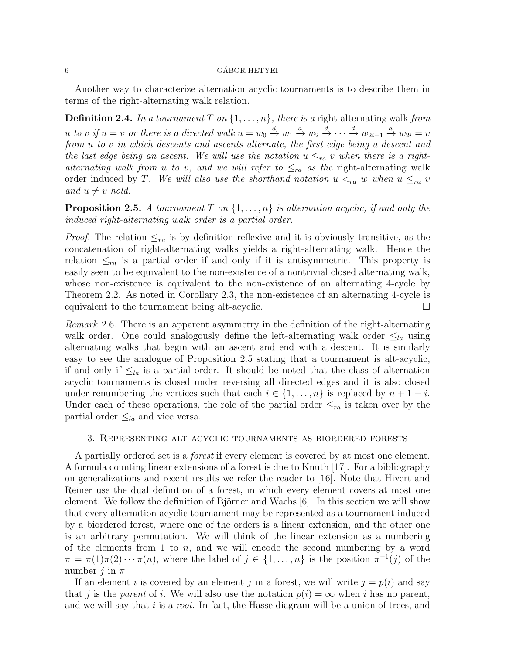## $6 \rightarrow$  GÁBOR HETYEI

Another way to characterize alternation acyclic tournaments is to describe them in terms of the right-alternating walk relation.

**Definition 2.4.** In a tournament T on  $\{1, \ldots, n\}$ , there is a right-alternating walk from u to v if  $u = v$  or there is a directed walk  $u = w_0 \stackrel{d}{\rightarrow} w_1 \stackrel{a}{\rightarrow} w_2 \stackrel{d}{\rightarrow} \cdots \stackrel{d}{\rightarrow} w_{2i-1} \stackrel{a}{\rightarrow} w_{2i} = v$ from u to v in which descents and ascents alternate, the first edge being a descent and the last edge being an ascent. We will use the notation  $u \leq_{ra} v$  when there is a rightalternating walk from u to v, and we will refer to  $\leq_{ra}$  as the right-alternating walk order induced by T. We will also use the shorthand notation  $u <_{ra} w$  when  $u \leq_{ra} v$ and  $u \neq v$  hold.

**Proposition 2.5.** A tournament T on  $\{1, \ldots, n\}$  is alternation acyclic, if and only the induced right-alternating walk order is a partial order.

*Proof.* The relation  $\leq_{ra}$  is by definition reflexive and it is obviously transitive, as the concatenation of right-alternating walks yields a right-alternating walk. Hence the relation  $\leq_{ra}$  is a partial order if and only if it is antisymmetric. This property is easily seen to be equivalent to the non-existence of a nontrivial closed alternating walk, whose non-existence is equivalent to the non-existence of an alternating 4-cycle by Theorem 2.2. As noted in Corollary 2.3, the non-existence of an alternating 4-cycle is equivalent to the tournament being alt-acyclic.

Remark 2.6. There is an apparent asymmetry in the definition of the right-alternating walk order. One could analogously define the left-alternating walk order  $\leq_{la}$  using alternating walks that begin with an ascent and end with a descent. It is similarly easy to see the analogue of Proposition 2.5 stating that a tournament is alt-acyclic, if and only if  $\leq_{la}$  is a partial order. It should be noted that the class of alternation acyclic tournaments is closed under reversing all directed edges and it is also closed under renumbering the vertices such that each  $i \in \{1, \ldots, n\}$  is replaced by  $n + 1 - i$ . Under each of these operations, the role of the partial order  $\leq_{ra}$  is taken over by the partial order  $\leq_{la}$  and vice versa.

## 3. Representing alt-acyclic tournaments as biordered forests

A partially ordered set is a forest if every element is covered by at most one element. A formula counting linear extensions of a forest is due to Knuth [17]. For a bibliography on generalizations and recent results we refer the reader to [16]. Note that Hivert and Reiner use the dual definition of a forest, in which every element covers at most one element. We follow the definition of Björner and Wachs  $[6]$ . In this section we will show that every alternation acyclic tournament may be represented as a tournament induced by a biordered forest, where one of the orders is a linear extension, and the other one is an arbitrary permutation. We will think of the linear extension as a numbering of the elements from 1 to  $n$ , and we will encode the second numbering by a word  $\pi = \pi(1)\pi(2)\cdots\pi(n)$ , where the label of  $j \in \{1,\ldots,n\}$  is the position  $\pi^{-1}(j)$  of the number j in  $\pi$ 

If an element i is covered by an element j in a forest, we will write  $j = p(i)$  and say that j is the parent of i. We will also use the notation  $p(i) = \infty$  when i has no parent, and we will say that  $i$  is a *root*. In fact, the Hasse diagram will be a union of trees, and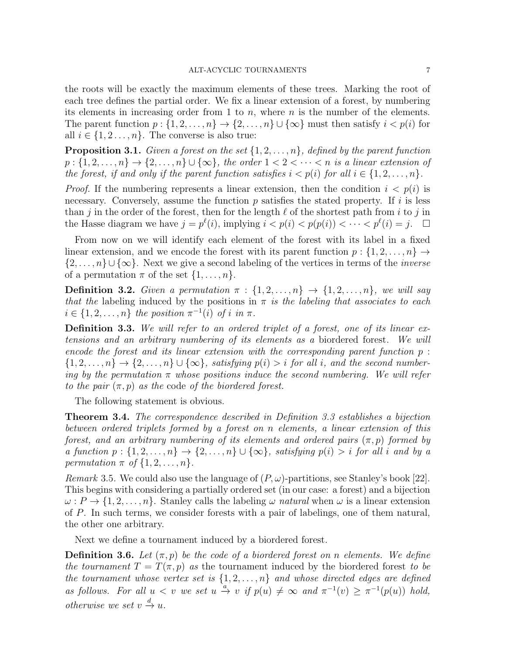the roots will be exactly the maximum elements of these trees. Marking the root of each tree defines the partial order. We fix a linear extension of a forest, by numbering its elements in increasing order from 1 to  $n$ , where  $n$  is the number of the elements. The parent function  $p: \{1, 2, \ldots, n\} \to \{2, \ldots, n\} \cup \{\infty\}$  must then satisfy  $i < p(i)$  for all  $i \in \{1, 2, \ldots, n\}$ . The converse is also true:

**Proposition 3.1.** Given a forest on the set  $\{1, 2, \ldots, n\}$ , defined by the parent function  $p:\{1,2,\ldots,n\}\to\{2,\ldots,n\}\cup\{\infty\}$ , the order  $1 < 2 < \cdots < n$  is a linear extension of the forest, if and only if the parent function satisfies  $i < p(i)$  for all  $i \in \{1, 2, ..., n\}$ .

*Proof.* If the numbering represents a linear extension, then the condition  $i < p(i)$  is necessary. Conversely, assume the function  $p$  satisfies the stated property. If  $i$  is less than j in the order of the forest, then for the length  $\ell$  of the shortest path from i to j in the Hasse diagram we have  $j = p^{\ell}(i)$ , implying  $i \lt p(i) < p(p(i)) < \cdots < p^{\ell}(i) = j$ .  $\Box$ 

From now on we will identify each element of the forest with its label in a fixed linear extension, and we encode the forest with its parent function  $p: \{1, 2, \ldots, n\} \rightarrow$  $\{2,\ldots,n\}\cup\{\infty\}$ . Next we give a second labeling of the vertices in terms of the *inverse* of a permutation  $\pi$  of the set  $\{1, \ldots, n\}$ .

**Definition 3.2.** Given a permutation  $\pi : \{1, 2, ..., n\} \rightarrow \{1, 2, ..., n\}$ , we will say that the labeling induced by the positions in  $\pi$  is the labeling that associates to each  $i \in \{1, 2, \ldots, n\}$  the position  $\pi^{-1}(i)$  of i in  $\pi$ .

Definition 3.3. We will refer to an ordered triplet of a forest, one of its linear extensions and an arbitrary numbering of its elements as a biordered forest. We will encode the forest and its linear extension with the corresponding parent function p :  $\{1, 2, \ldots, n\} \rightarrow \{2, \ldots, n\} \cup \{\infty\}$ , satisfying  $p(i) > i$  for all i, and the second numbering by the permutation  $\pi$  whose positions induce the second numbering. We will refer to the pair  $(\pi, p)$  as the code of the biordered forest.

The following statement is obvious.

Theorem 3.4. The correspondence described in Definition 3.3 establishes a bijection between ordered triplets formed by a forest on n elements, a linear extension of this forest, and an arbitrary numbering of its elements and ordered pairs  $(\pi, p)$  formed by a function  $p:\{1,2,\ldots,n\}\to\{2,\ldots,n\}\cup\{\infty\}$ , satisfying  $p(i) > i$  for all i and by a permutation  $\pi$  of  $\{1, 2, \ldots, n\}$ .

Remark 3.5. We could also use the language of  $(P, \omega)$ -partitions, see Stanley's book [22]. This begins with considering a partially ordered set (in our case: a forest) and a bijection  $\omega: P \to \{1, 2, \ldots, n\}$ . Stanley calls the labeling  $\omega$  natural when  $\omega$  is a linear extension of P. In such terms, we consider forests with a pair of labelings, one of them natural, the other one arbitrary.

Next we define a tournament induced by a biordered forest.

**Definition 3.6.** Let  $(\pi, p)$  be the code of a biordered forest on n elements. We define the tournament  $T = T(\pi, p)$  as the tournament induced by the biordered forest to be the tournament whose vertex set is  $\{1, 2, \ldots, n\}$  and whose directed edges are defined as follows. For all  $u < v$  we set  $u \stackrel{a}{\to} v$  if  $p(u) \neq \infty$  and  $\pi^{-1}(v) \geq \pi^{-1}(p(u))$  hold, otherwise we set  $v \stackrel{d}{\rightarrow} u$ .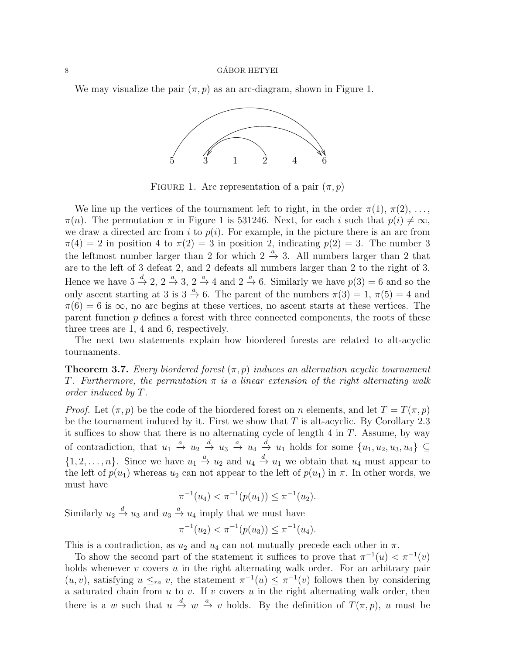## $\alpha$  GÁBOR HETYEI

We may visualize the pair  $(\pi, p)$  as an arc-diagram, shown in Figure 1.



FIGURE 1. Arc representation of a pair  $(\pi, p)$ 

We line up the vertices of the tournament left to right, in the order  $\pi(1), \pi(2), \ldots$ ,  $\pi(n)$ . The permutation  $\pi$  in Figure 1 is 531246. Next, for each i such that  $p(i) \neq \infty$ , we draw a directed arc from i to  $p(i)$ . For example, in the picture there is an arc from  $\pi(4) = 2$  in position 4 to  $\pi(2) = 3$  in position 2, indicating  $p(2) = 3$ . The number 3 the leftmost number larger than 2 for which  $2 \stackrel{a}{\rightarrow} 3$ . All numbers larger than 2 that are to the left of 3 defeat 2, and 2 defeats all numbers larger than 2 to the right of 3. Hence we have  $5 \stackrel{d}{\rightarrow} 2$ ,  $2 \stackrel{a}{\rightarrow} 3$ ,  $2 \stackrel{a}{\rightarrow} 4$  and  $2 \stackrel{a}{\rightarrow} 6$ . Similarly we have  $p(3) = 6$  and so the only ascent starting at 3 is  $3 \stackrel{a}{\rightarrow} 6$ . The parent of the numbers  $\pi(3) = 1$ ,  $\pi(5) = 4$  and  $\pi(6) = 6$  is  $\infty$ , no arc begins at these vertices, no ascent starts at these vertices. The parent function  $p$  defines a forest with three connected components, the roots of these three trees are 1, 4 and 6, respectively.

The next two statements explain how biordered forests are related to alt-acyclic tournaments.

**Theorem 3.7.** Every biordered forest  $(\pi, p)$  induces an alternation acyclic tournament T. Furthermore, the permutation  $\pi$  is a linear extension of the right alternating walk order induced by T.

*Proof.* Let  $(\pi, p)$  be the code of the biordered forest on n elements, and let  $T = T(\pi, p)$ be the tournament induced by it. First we show that  $T$  is alt-acyclic. By Corollary 2.3 it suffices to show that there is no alternating cycle of length  $4$  in  $T$ . Assume, by way of contradiction, that  $u_1 \stackrel{a}{\rightarrow} u_2 \stackrel{d}{\rightarrow} u_3 \stackrel{a}{\rightarrow} u_4 \stackrel{d}{\rightarrow} u_1$  holds for some  $\{u_1, u_2, u_3, u_4\} \subseteq$  $\{1, 2, \ldots, n\}$ . Since we have  $u_1 \stackrel{a}{\rightarrow} u_2$  and  $u_4 \stackrel{d}{\rightarrow} u_1$  we obtain that  $u_4$  must appear to the left of  $p(u_1)$  whereas  $u_2$  can not appear to the left of  $p(u_1)$  in  $\pi$ . In other words, we must have

$$
\pi^{-1}(u_4) < \pi^{-1}(p(u_1)) \le \pi^{-1}(u_2).
$$

Similarly  $u_2 \stackrel{d}{\rightarrow} u_3$  and  $u_3 \stackrel{a}{\rightarrow} u_4$  imply that we must have

$$
\pi^{-1}(u_2) < \pi^{-1}(p(u_3)) \leq \pi^{-1}(u_4).
$$

This is a contradiction, as  $u_2$  and  $u_4$  can not mutually precede each other in  $\pi$ .

To show the second part of the statement it suffices to prove that  $\pi^{-1}(u) < \pi^{-1}(v)$ holds whenever  $v$  covers  $u$  in the right alternating walk order. For an arbitrary pair  $(u, v)$ , satisfying  $u \leq_{ra} v$ , the statement  $\pi^{-1}(u) \leq \pi^{-1}(v)$  follows then by considering a saturated chain from  $u$  to  $v$ . If  $v$  covers  $u$  in the right alternating walk order, then there is a w such that  $u \stackrel{d}{\rightarrow} w \stackrel{a}{\rightarrow} v$  holds. By the definition of  $T(\pi, p)$ , u must be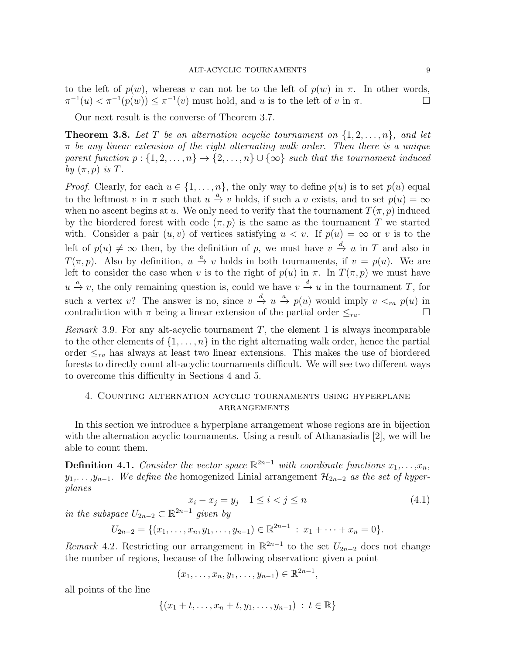to the left of  $p(w)$ , whereas v can not be to the left of  $p(w)$  in  $\pi$ . In other words,  $\pi^{-1}(u) < \pi^{-1}(p(w)) \leq \pi^{-1}(v)$  must hold, and u is to the left of v in  $\pi$ .

Our next result is the converse of Theorem 3.7.

**Theorem 3.8.** Let T be an alternation acyclic tournament on  $\{1, 2, \ldots, n\}$ , and let  $\pi$  be any linear extension of the right alternating walk order. Then there is a unique parent function  $p : \{1, 2, \ldots, n\} \rightarrow \{2, \ldots, n\} \cup \{\infty\}$  such that the tournament induced by  $(\pi, p)$  is T.

*Proof.* Clearly, for each  $u \in \{1, ..., n\}$ , the only way to define  $p(u)$  is to set  $p(u)$  equal to the leftmost v in  $\pi$  such that  $u \stackrel{a}{\rightarrow} v$  holds, if such a v exists, and to set  $p(u) = \infty$ when no ascent begins at u. We only need to verify that the tournament  $T(\pi, p)$  induced by the biordered forest with code  $(\pi, p)$  is the same as the tournament T we started with. Consider a pair  $(u, v)$  of vertices satisfying  $u < v$ . If  $p(u) = \infty$  or v is to the left of  $p(u) \neq \infty$  then, by the definition of p, we must have  $v \stackrel{d}{\rightarrow} u$  in T and also in  $T(\pi, p)$ . Also by definition,  $u \stackrel{a}{\rightarrow} v$  holds in both tournaments, if  $v = p(u)$ . We are left to consider the case when v is to the right of  $p(u)$  in  $\pi$ . In  $T(\pi, p)$  we must have  $u \stackrel{a}{\rightarrow} v$ , the only remaining question is, could we have  $v \stackrel{d}{\rightarrow} u$  in the tournament T, for such a vertex v? The answer is no, since  $v \stackrel{d}{\to} u \stackrel{a}{\to} p(u)$  would imply  $v <_{ra} p(u)$  in contradiction with  $\pi$  being a linear extension of the partial order  $\leq_{ra}$ .

*Remark* 3.9. For any alt-acyclic tournament  $T$ , the element 1 is always incomparable to the other elements of  $\{1, \ldots, n\}$  in the right alternating walk order, hence the partial order  $\leq_{ra}$  has always at least two linear extensions. This makes the use of biordered forests to directly count alt-acyclic tournaments difficult. We will see two different ways to overcome this difficulty in Sections 4 and 5.

# 4. Counting alternation acyclic tournaments using hyperplane **ARRANGEMENTS**

In this section we introduce a hyperplane arrangement whose regions are in bijection with the alternation acyclic tournaments. Using a result of Athanasiadis [2], we will be able to count them.

**Definition 4.1.** Consider the vector space  $\mathbb{R}^{2n-1}$  with coordinate functions  $x_1, \ldots, x_n$ ,  $y_1, \ldots, y_{n-1}$ . We define the homogenized Linial arrangement  $\mathcal{H}_{2n-2}$  as the set of hyperplanes

$$
x_i - x_j = y_j \quad 1 \le i < j \le n \tag{4.1}
$$

in the subspace  $U_{2n-2} \subset \mathbb{R}^{2n-1}$  given by

$$
U_{2n-2} = \{(x_1, \ldots, x_n, y_1, \ldots, y_{n-1}) \in \mathbb{R}^{2n-1} : x_1 + \cdots + x_n = 0\}.
$$

Remark 4.2. Restricting our arrangement in  $\mathbb{R}^{2n-1}$  to the set  $U_{2n-2}$  does not change the number of regions, because of the following observation: given a point

$$
(x_1, \ldots, x_n, y_1, \ldots, y_{n-1}) \in \mathbb{R}^{2n-1},
$$

all points of the line

$$
\{(x_1 + t, \ldots, x_n + t, y_1, \ldots, y_{n-1}) : t \in \mathbb{R}\}\
$$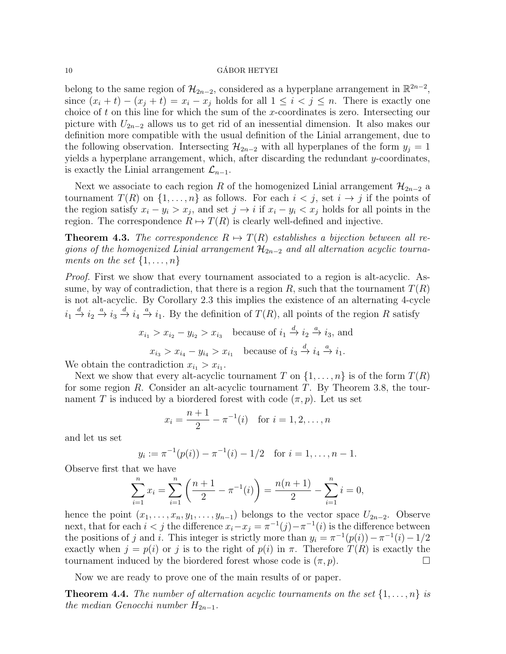belong to the same region of  $\mathcal{H}_{2n-2}$ , considered as a hyperplane arrangement in  $\mathbb{R}^{2n-2}$ , since  $(x_i + t) - (x_j + t) = x_i - x_j$  holds for all  $1 \leq i < j \leq n$ . There is exactly one choice of t on this line for which the sum of the x-coordinates is zero. Intersecting our picture with  $U_{2n-2}$  allows us to get rid of an inessential dimension. It also makes our definition more compatible with the usual definition of the Linial arrangement, due to the following observation. Intersecting  $\mathcal{H}_{2n-2}$  with all hyperplanes of the form  $y_i = 1$ yields a hyperplane arrangement, which, after discarding the redundant y-coordinates, is exactly the Linial arrangement  $\mathcal{L}_{n-1}$ .

Next we associate to each region R of the homogenized Linial arrangement  $\mathcal{H}_{2n-2}$  a tournament  $T(R)$  on  $\{1, \ldots, n\}$  as follows. For each  $i < j$ , set  $i \to j$  if the points of the region satisfy  $x_i - y_i > x_j$ , and set  $j \to i$  if  $x_i - y_i < x_j$  holds for all points in the region. The correspondence  $R \mapsto T(R)$  is clearly well-defined and injective.

**Theorem 4.3.** The correspondence  $R \mapsto T(R)$  establishes a bijection between all regions of the homogenized Linial arrangement  $\mathcal{H}_{2n-2}$  and all alternation acyclic tournaments on the set  $\{1,\ldots,n\}$ 

Proof. First we show that every tournament associated to a region is alt-acyclic. Assume, by way of contradiction, that there is a region R, such that the tournament  $T(R)$ is not alt-acyclic. By Corollary 2.3 this implies the existence of an alternating 4-cycle  $i_1 \stackrel{d}{\to} i_2 \stackrel{a}{\to} i_3 \stackrel{d}{\to} i_4 \stackrel{a}{\to} i_1$ . By the definition of  $T(R)$ , all points of the region R satisfy

$$
x_{i_1} > x_{i_2} - y_{i_2} > x_{i_3} \quad \text{because of } i_1 \stackrel{d}{\to} i_2 \stackrel{a}{\to} i_3 \text{, and}
$$
\n
$$
x_{i_3} > x_{i_4} - y_{i_4} > x_{i_1} \quad \text{because of } i_3 \stackrel{d}{\to} i_4 \stackrel{a}{\to} i_1.
$$

We obtain the contradiction  $x_{i_1} > x_{i_1}$ .

Next we show that every alt-acyclic tournament T on  $\{1,\ldots,n\}$  is of the form  $T(R)$ for some region  $R$ . Consider an alt-acyclic tournament  $T$ . By Theorem 3.8, the tournament T is induced by a biordered forest with code  $(\pi, p)$ . Let us set

$$
x_i = \frac{n+1}{2} - \pi^{-1}(i) \text{ for } i = 1, 2, \dots, n
$$

and let us set

$$
y_i := \pi^{-1}(p(i)) - \pi^{-1}(i) - 1/2
$$
 for  $i = 1, ..., n - 1$ .

Observe first that we have

$$
\sum_{i=1}^{n} x_i = \sum_{i=1}^{n} \left( \frac{n+1}{2} - \pi^{-1}(i) \right) = \frac{n(n+1)}{2} - \sum_{i=1}^{n} i = 0,
$$

hence the point  $(x_1, \ldots, x_n, y_1, \ldots, y_{n-1})$  belongs to the vector space  $U_{2n-2}$ . Observe next, that for each  $i < j$  the difference  $x_i - x_j = \pi^{-1}(j) - \pi^{-1}(i)$  is the difference between the positions of j and i. This integer is strictly more than  $y_i = \pi^{-1}(p(i)) - \pi^{-1}(i) - 1/2$ exactly when  $j = p(i)$  or j is to the right of  $p(i)$  in  $\pi$ . Therefore  $T(R)$  is exactly the tournament induced by the biordered forest whose code is  $(\pi, p)$ .

Now we are ready to prove one of the main results of or paper.

**Theorem 4.4.** The number of alternation acyclic tournaments on the set  $\{1, \ldots, n\}$  is the median Genocchi number  $H_{2n-1}$ .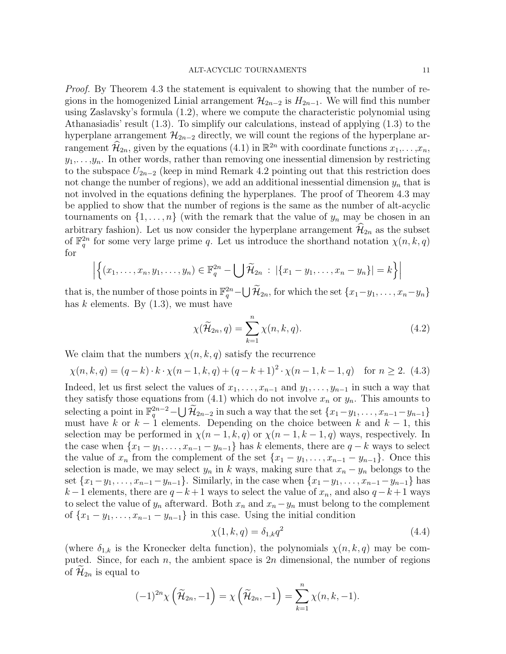Proof. By Theorem 4.3 the statement is equivalent to showing that the number of regions in the homogenized Linial arrangement  $\mathcal{H}_{2n-2}$  is  $H_{2n-1}$ . We will find this number using Zaslavsky's formula (1.2), where we compute the characteristic polynomial using Athanasiadis' result (1.3). To simplify our calculations, instead of applying (1.3) to the hyperplane arrangement  $\mathcal{H}_{2n-2}$  directly, we will count the regions of the hyperplane arrangement  $\widehat{\mathcal{H}}_{2n}$ , given by the equations  $(4.1)$  in  $\mathbb{R}^{2n}$  with coordinate functions  $x_1, \ldots, x_n$ ,  $y_1, \ldots, y_n$ . In other words, rather than removing one inessential dimension by restricting to the subspace  $U_{2n-2}$  (keep in mind Remark 4.2 pointing out that this restriction does not change the number of regions), we add an additional inessential dimension  $y_n$  that is not involved in the equations defining the hyperplanes. The proof of Theorem 4.3 may be applied to show that the number of regions is the same as the number of alt-acyclic tournaments on  $\{1,\ldots,n\}$  (with the remark that the value of  $y_n$  may be chosen in an arbitrary fashion). Let us now consider the hyperplane arrangement  $\hat{\mathcal{H}}_{2n}$  as the subset of  $\mathbb{F}_q^{2n}$  for some very large prime q. Let us introduce the shorthand notation  $\chi(n, k, q)$ for

$$
\left| \left\{ (x_1,\ldots,x_n,y_1,\ldots,y_n) \in \mathbb{F}_q^{2n} - \bigcup \widetilde{\mathcal{H}}_{2n} \; : \; |\{x_1-y_1,\ldots,x_n-y_n\}| = k \right\} \right|
$$

that is, the number of those points in  $\mathbb{F}_q^{2n}$  –  $\bigcup \widetilde{\mathcal{H}}_{2n}$ , for which the set  $\{x_1-y_1, \ldots, x_n-y_n\}$ has  $k$  elements. By  $(1.3)$ , we must have

$$
\chi(\widetilde{\mathcal{H}}_{2n}, q) = \sum_{k=1}^{n} \chi(n, k, q). \tag{4.2}
$$

We claim that the numbers  $\chi(n, k, q)$  satisfy the recurrence

$$
\chi(n,k,q) = (q-k) \cdot k \cdot \chi(n-1,k,q) + (q-k+1)^2 \cdot \chi(n-1,k-1,q) \quad \text{for } n \ge 2. \tag{4.3}
$$

Indeed, let us first select the values of  $x_1, \ldots, x_{n-1}$  and  $y_1, \ldots, y_{n-1}$  in such a way that they satisfy those equations from (4.1) which do not involve  $x_n$  or  $y_n$ . This amounts to selecting a point in  $\mathbb{F}_q^{2n-2}$   $\cup$   $\widetilde{\mathcal{H}}_{2n-2}$  in such a way that the set  $\{x_1-y_1, \ldots, x_{n-1}-y_{n-1}\}$ must have k or  $k - 1$  elements. Depending on the choice between k and  $k - 1$ , this selection may be performed in  $\chi(n-1,k,q)$  or  $\chi(n-1,k-1,q)$  ways, respectively. In the case when  $\{x_1 - y_1, \ldots, x_{n-1} - y_{n-1}\}$  has k elements, there are  $q - k$  ways to select the value of  $x_n$  from the complement of the set  $\{x_1 - y_1, \ldots, x_{n-1} - y_{n-1}\}$ . Once this selection is made, we may select  $y_n$  in k ways, making sure that  $x_n - y_n$  belongs to the set  ${x_1-y_1, \ldots, x_{n-1}-y_{n-1}}$ . Similarly, in the case when  ${x_1-y_1, \ldots, x_{n-1}-y_{n-1}}$  has  $k-1$  elements, there are  $q-k+1$  ways to select the value of  $x_n$ , and also  $q-k+1$  ways to select the value of  $y_n$  afterward. Both  $x_n$  and  $x_n-y_n$  must belong to the complement of  ${x_1-y_1,\ldots,x_{n-1}-y_{n-1}}$  in this case. Using the initial condition

$$
\chi(1, k, q) = \delta_{1,k} q^2 \tag{4.4}
$$

(where  $\delta_{1,k}$  is the Kronecker delta function), the polynomials  $\chi(n, k, q)$  may be computed. Since, for each  $n$ , the ambient space is  $2n$  dimensional, the number of regions of  $\mathcal{H}_{2n}$  is equal to

$$
(-1)^{2n}\chi\left(\widetilde{\mathcal{H}}_{2n},-1\right)=\chi\left(\widetilde{\mathcal{H}}_{2n},-1\right)=\sum_{k=1}^n\chi(n,k,-1).
$$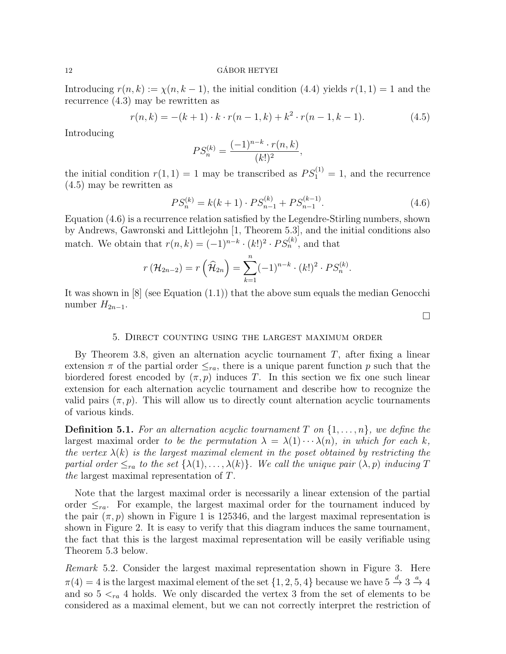Introducing  $r(n, k) := \chi(n, k - 1)$ , the initial condition (4.4) yields  $r(1, 1) = 1$  and the recurrence (4.3) may be rewritten as

$$
r(n,k) = -(k+1) \cdot k \cdot r(n-1,k) + k^2 \cdot r(n-1,k-1). \tag{4.5}
$$

Introducing

$$
PS_n^{(k)} = \frac{(-1)^{n-k} \cdot r(n,k)}{(k!)^2},
$$

the initial condition  $r(1, 1) = 1$  may be transcribed as  $PS_1^{(1)} = 1$ , and the recurrence (4.5) may be rewritten as

$$
PS_n^{(k)} = k(k+1) \cdot PS_{n-1}^{(k)} + PS_{n-1}^{(k-1)}.
$$
\n(4.6)

Equation (4.6) is a recurrence relation satisfied by the Legendre-Stirling numbers, shown by Andrews, Gawronski and Littlejohn [1, Theorem 5.3], and the initial conditions also match. We obtain that  $r(n,k) = (-1)^{n-k} \cdot (k!)^2 \cdot PS_n^{(k)}$ , and that

$$
r(\mathcal{H}_{2n-2}) = r(\widehat{\mathcal{H}}_{2n}) = \sum_{k=1}^{n} (-1)^{n-k} \cdot (k!)^2 \cdot PS_n^{(k)}.
$$

It was shown in  $[8]$  (see Equation  $(1.1)$ ) that the above sum equals the median Genocchi number  $H_{2n-1}$ .

 $\Box$ 

### 5. Direct counting using the largest maximum order

By Theorem 3.8, given an alternation acyclic tournament  $T$ , after fixing a linear extension  $\pi$  of the partial order  $\leq_{ra}$ , there is a unique parent function p such that the biordered forest encoded by  $(\pi, p)$  induces T. In this section we fix one such linear extension for each alternation acyclic tournament and describe how to recognize the valid pairs  $(\pi, p)$ . This will allow us to directly count alternation acyclic tournaments of various kinds.

**Definition 5.1.** For an alternation acyclic tournament T on  $\{1, \ldots, n\}$ , we define the largest maximal order to be the permutation  $\lambda = \lambda(1) \cdots \lambda(n)$ , in which for each k, the vertex  $\lambda(k)$  is the largest maximal element in the poset obtained by restricting the partial order  $\leq_{ra}$  to the set  $\{\lambda(1), \ldots, \lambda(k)\}\)$ . We call the unique pair  $(\lambda, p)$  inducing T the largest maximal representation of T.

Note that the largest maximal order is necessarily a linear extension of the partial order  $\leq_{ra}$ . For example, the largest maximal order for the tournament induced by the pair  $(\pi, p)$  shown in Figure 1 is 125346, and the largest maximal representation is shown in Figure 2. It is easy to verify that this diagram induces the same tournament, the fact that this is the largest maximal representation will be easily verifiable using Theorem 5.3 below.

Remark 5.2. Consider the largest maximal representation shown in Figure 3. Here  $\pi(4) = 4$  is the largest maximal element of the set  $\{1, 2, 5, 4\}$  because we have  $5 \stackrel{d}{\rightarrow} 3 \stackrel{a}{\rightarrow} 4$ and so  $5 <_{ra} 4$  holds. We only discarded the vertex 3 from the set of elements to be considered as a maximal element, but we can not correctly interpret the restriction of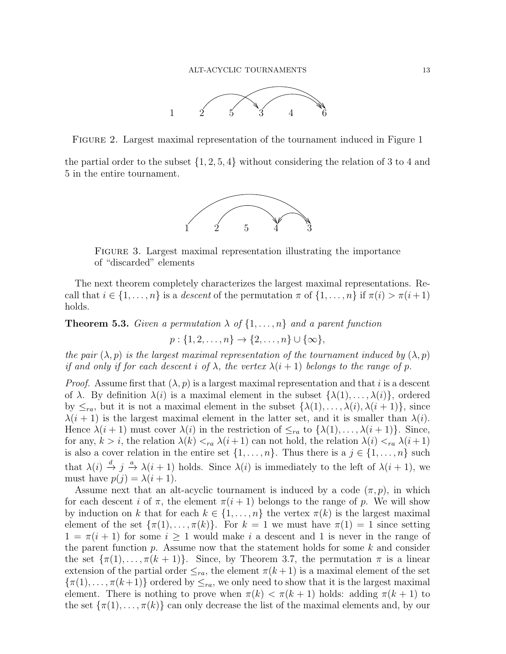

Figure 2. Largest maximal representation of the tournament induced in Figure 1

the partial order to the subset  $\{1, 2, 5, 4\}$  without considering the relation of 3 to 4 and 5 in the entire tournament.



Figure 3. Largest maximal representation illustrating the importance of "discarded" elements

The next theorem completely characterizes the largest maximal representations. Recall that  $i \in \{1, \ldots, n\}$  is a descent of the permutation  $\pi$  of  $\{1, \ldots, n\}$  if  $\pi(i) > \pi(i+1)$ holds.

**Theorem 5.3.** Given a permutation  $\lambda$  of  $\{1, \ldots, n\}$  and a parent function

 $p: \{1, 2, \ldots, n\} \to \{2, \ldots, n\} \cup \{\infty\},\$ 

the pair  $(\lambda, p)$  is the largest maximal representation of the tournament induced by  $(\lambda, p)$ if and only if for each descent i of  $\lambda$ , the vertex  $\lambda(i+1)$  belongs to the range of p.

*Proof.* Assume first that  $(\lambda, p)$  is a largest maximal representation and that i is a descent of  $\lambda$ . By definition  $\lambda(i)$  is a maximal element in the subset  $\{\lambda(1), \ldots, \lambda(i)\}\)$ , ordered by  $\leq_{ra}$ , but it is not a maximal element in the subset  $\{\lambda(1), \ldots, \lambda(i), \lambda(i+1)\}\$ , since  $\lambda(i+1)$  is the largest maximal element in the latter set, and it is smaller than  $\lambda(i)$ . Hence  $\lambda(i+1)$  must cover  $\lambda(i)$  in the restriction of  $\leq_{ra}$  to  $\{\lambda(1), \ldots, \lambda(i+1)\}\$ . Since, for any,  $k > i$ , the relation  $\lambda(k) <_{ra} \lambda(i+1)$  can not hold, the relation  $\lambda(i) <_{ra} \lambda(i+1)$ is also a cover relation in the entire set  $\{1, \ldots, n\}$ . Thus there is a  $j \in \{1, \ldots, n\}$  such that  $\lambda(i) \stackrel{d}{\to} j \stackrel{a}{\to} \lambda(i+1)$  holds. Since  $\lambda(i)$  is immediately to the left of  $\lambda(i+1)$ , we must have  $p(j) = \lambda(i + 1)$ .

Assume next that an alt-acyclic tournament is induced by a code  $(\pi, p)$ , in which for each descent i of  $\pi$ , the element  $\pi(i + 1)$  belongs to the range of p. We will show by induction on k that for each  $k \in \{1, \ldots, n\}$  the vertex  $\pi(k)$  is the largest maximal element of the set  $\{\pi(1), \ldots, \pi(k)\}\$ . For  $k = 1$  we must have  $\pi(1) = 1$  since setting  $1 = \pi(i + 1)$  for some  $i \geq 1$  would make i a descent and 1 is never in the range of the parent function  $p$ . Assume now that the statement holds for some  $k$  and consider the set  $\{\pi(1), \ldots, \pi(k+1)\}\$ . Since, by Theorem 3.7, the permutation  $\pi$  is a linear extension of the partial order  $\leq_{ra}$ , the element  $\pi(k+1)$  is a maximal element of the set  $\{\pi(1), \ldots, \pi(k+1)\}\$  ordered by  $\leq_{ra}$ , we only need to show that it is the largest maximal element. There is nothing to prove when  $\pi(k) < \pi(k+1)$  holds: adding  $\pi(k+1)$  to the set  $\{\pi(1), \ldots, \pi(k)\}\)$  can only decrease the list of the maximal elements and, by our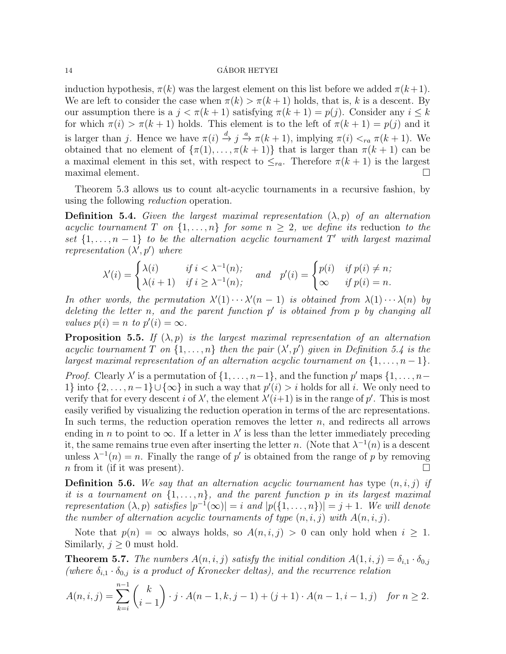induction hypothesis,  $\pi(k)$  was the largest element on this list before we added  $\pi(k+1)$ . We are left to consider the case when  $\pi(k) > \pi(k+1)$  holds, that is, k is a descent. By our assumption there is a  $j < \pi(k+1)$  satisfying  $\pi(k+1) = p(j)$ . Consider any  $i \leq k$ for which  $\pi(i) > \pi(k+1)$  holds. This element is to the left of  $\pi(k+1) = p(j)$  and it is larger than j. Hence we have  $\pi(i) \stackrel{d}{\to} j \stackrel{a}{\to} \pi(k+1)$ , implying  $\pi(i) <_{ra} \pi(k+1)$ . We obtained that no element of  $\{\pi(1), \ldots, \pi(k+1)\}\)$  that is larger than  $\pi(k+1)$  can be a maximal element in this set, with respect to  $\leq_{ra}$ . Therefore  $\pi(k+1)$  is the largest maximal element.  $\Box$ 

Theorem 5.3 allows us to count alt-acyclic tournaments in a recursive fashion, by using the following reduction operation.

**Definition 5.4.** Given the largest maximal representation  $(\lambda, p)$  of an alternation acyclic tournament T on  $\{1,\ldots,n\}$  for some  $n \geq 2$ , we define its reduction to the set  $\{1, \ldots, n-1\}$  to be the alternation acyclic tournament T' with largest maximal representation  $(\lambda', p')$  where

$$
\lambda'(i) = \begin{cases} \lambda(i) & \text{if } i < \lambda^{-1}(n); \\ \lambda(i+1) & \text{if } i \ge \lambda^{-1}(n); \end{cases} \quad \text{and} \quad p'(i) = \begin{cases} p(i) & \text{if } p(i) \ne n; \\ \infty & \text{if } p(i) = n. \end{cases}
$$

In other words, the permutation  $\lambda'(1) \cdots \lambda'(n-1)$  is obtained from  $\lambda(1) \cdots \lambda(n)$  by deleting the letter n, and the parent function  $p'$  is obtained from p by changing all values  $p(i) = n$  to  $p'(i) = \infty$ .

**Proposition 5.5.** If  $(\lambda, p)$  is the largest maximal representation of an alternation acyclic tournament T on  $\{1,\ldots,n\}$  then the pair  $(\lambda',p')$  given in Definition 5.4 is the largest maximal representation of an alternation acyclic tournament on  $\{1, \ldots, n-1\}$ .

*Proof.* Clearly  $\lambda'$  is a permutation of  $\{1, \ldots, n-1\}$ , and the function  $p'$  maps  $\{1, \ldots, n-1\}$ 1} into  $\{2,\ldots,n-1\}$ ∪ $\{\infty\}$  in such a way that  $p'(i) > i$  holds for all i. We only need to verify that for every descent *i* of  $\lambda'$ , the element  $\lambda'(i+1)$  is in the range of p'. This is most easily verified by visualizing the reduction operation in terms of the arc representations. In such terms, the reduction operation removes the letter  $n$ , and redirects all arrows ending in n to point to  $\infty$ . If a letter in  $\lambda'$  is less than the letter immediately preceding it, the same remains true even after inserting the letter n. (Note that  $\lambda^{-1}(n)$  is a descent unless  $\lambda^{-1}(n) = n$ . Finally the range of p' is obtained from the range of p by removing n from it (if it was present).

**Definition 5.6.** We say that an alternation acyclic tournament has type  $(n, i, j)$  if it is a tournament on  $\{1,\ldots,n\}$ , and the parent function p in its largest maximal representation  $(\lambda, p)$  satisfies  $|p^{-1}(\infty)| = i$  and  $|p({1, \ldots, n})| = j + 1$ . We will denote the number of alternation acyclic tournaments of type  $(n, i, j)$  with  $A(n, i, j)$ .

Note that  $p(n) = \infty$  always holds, so  $A(n, i, j) > 0$  can only hold when  $i \geq 1$ . Similarly,  $j \geq 0$  must hold.

**Theorem 5.7.** The numbers  $A(n, i, j)$  satisfy the initial condition  $A(1, i, j) = \delta_{i,1} \cdot \delta_{0,j}$ (where  $\delta_{i,1} \cdot \delta_{0,j}$  is a product of Kronecker deltas), and the recurrence relation

$$
A(n,i,j) = \sum_{k=i}^{n-1} {k \choose i-1} \cdot j \cdot A(n-1,k,j-1) + (j+1) \cdot A(n-1,i-1,j) \quad \text{for } n \ge 2.
$$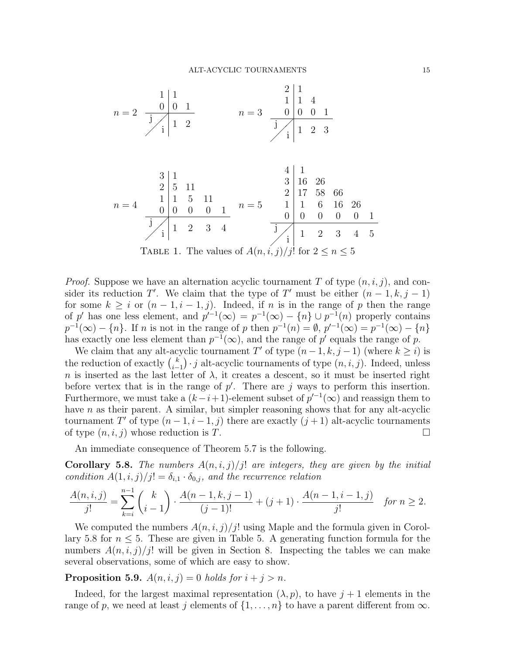$$
n = 2 \begin{array}{c|cc} & 1 & 1 & & & & 2 & 1 \\ \hline & 0 & 0 & 1 & & & 1 & 1 & 4 \\ & & 1 & 1 & 2 & & & 0 & 0 & 0 & 1 \\ & & & 1 & 1 & 2 & & & 0 & 0 & 0 & 1 \\ & & & & & & & & & 1 & 1 & 2 & 3 \end{array}
$$

n = 4 3 1 2 5 11 1 1 5 11 0 0 0 0 1 j i 1 2 3 4 n = 5 3 16 26 2 17 58 66 1 1 6 16 26 0 0 0 0 0 1 j i 1 2 3 4 5 Table 1. The values of A(n, i, j)/j! for 2 ≤ n ≤ 5

4 1

*Proof.* Suppose we have an alternation acyclic tournament T of type  $(n, i, j)$ , and consider its reduction T'. We claim that the type of T' must be either  $(n-1, k, j-1)$ for some  $k \geq i$  or  $(n-1, i-1, j)$ . Indeed, if n is in the range of p then the range of p' has one less element, and  $p'^{-1}(\infty) = p^{-1}(\infty) - \{n\} \cup p^{-1}(n)$  properly contains  $p^{-1}(\infty) - \{n\}$ . If n is not in the range of p then  $p^{-1}(n) = \emptyset$ ,  $p'^{-1}(\infty) = p^{-1}(\infty) - \{n\}$ has exactly one less element than  $p^{-1}(\infty)$ , and the range of p' equals the range of p.

We claim that any alt-acyclic tournament T' of type  $(n-1, k, j-1)$  (where  $k \geq i$ ) is the reduction of exactly  $\binom{k}{k}$  $\binom{k}{i-1} \cdot j$  alt-acyclic tournaments of type  $(n, i, j)$ . Indeed, unless n is inserted as the last letter of  $\lambda$ , it creates a descent, so it must be inserted right before vertex that is in the range of  $p'$ . There are j ways to perform this insertion. Furthermore, we must take a  $(k-i+1)$ -element subset of  $p'^{-1}(\infty)$  and reassign them to have *n* as their parent. A similar, but simpler reasoning shows that for any alt-acyclic tournament T' of type  $(n-1, i-1, j)$  there are exactly  $(j + 1)$  alt-acyclic tournaments of type  $(n, i, j)$  whose reduction is T.

An immediate consequence of Theorem 5.7 is the following.

**Corollary 5.8.** The numbers  $A(n, i, j)/j!$  are integers, they are given by the initial condition  $A(1, i, j)/j! = \delta_{i,1} \cdot \delta_{0,j}$ , and the recurrence relation

$$
\frac{A(n,i,j)}{j!} = \sum_{k=i}^{n-1} \binom{k}{i-1} \cdot \frac{A(n-1,k,j-1)}{(j-1)!} + (j+1) \cdot \frac{A(n-1,i-1,j)}{j!} \quad \textit{for } n \geq 2.
$$

We computed the numbers  $A(n, i, j)/j!$  using Maple and the formula given in Corollary 5.8 for  $n \leq 5$ . These are given in Table 5. A generating function formula for the numbers  $A(n, i, j)/j!$  will be given in Section 8. Inspecting the tables we can make several observations, some of which are easy to show.

# **Proposition 5.9.**  $A(n, i, j) = 0$  holds for  $i + j > n$ .

Indeed, for the largest maximal representation  $(\lambda, p)$ , to have  $j + 1$  elements in the range of p, we need at least j elements of  $\{1, \ldots, n\}$  to have a parent different from  $\infty$ .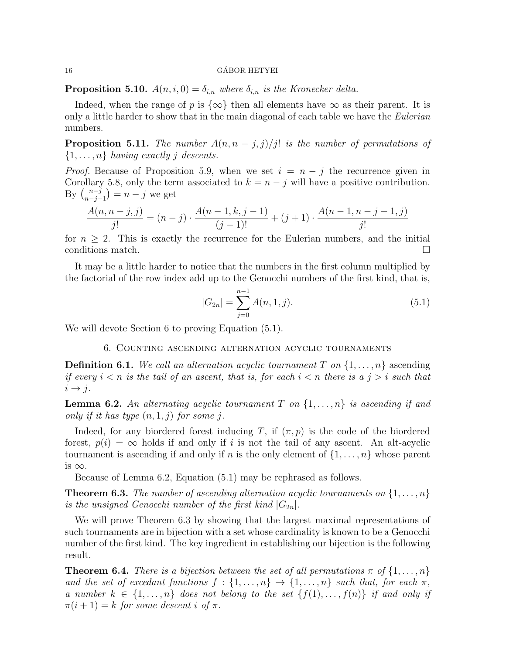**Proposition 5.10.**  $A(n, i, 0) = \delta_{i,n}$  where  $\delta_{i,n}$  is the Kronecker delta.

Indeed, when the range of p is  $\{\infty\}$  then all elements have  $\infty$  as their parent. It is only a little harder to show that in the main diagonal of each table we have the *Eulerian* numbers.

**Proposition 5.11.** The number  $A(n, n - j, j)/j!$  is the number of permutations of  $\{1, \ldots, n\}$  having exactly j descents.

*Proof.* Because of Proposition 5.9, when we set  $i = n - j$  the recurrence given in Corollary 5.8, only the term associated to  $k = n - j$  will have a positive contribution. By  $\binom{n-j}{n-i}$  $\binom{n-j}{n-j-1} = n-j$  we get

$$
\frac{A(n, n-j, j)}{j!} = (n-j) \cdot \frac{A(n-1, k, j-1)}{(j-1)!} + (j+1) \cdot \frac{A(n-1, n-j-1, j)}{j!}
$$

for  $n > 2$ . This is exactly the recurrence for the Eulerian numbers, and the initial conditions match.

It may be a little harder to notice that the numbers in the first column multiplied by the factorial of the row index add up to the Genocchi numbers of the first kind, that is,

$$
|G_{2n}| = \sum_{j=0}^{n-1} A(n, 1, j).
$$
 (5.1)

We will devote Section 6 to proving Equation  $(5.1)$ .

6. Counting ascending alternation acyclic tournaments

**Definition 6.1.** We call an alternation acyclic tournament T on  $\{1, \ldots, n\}$  ascending if every  $i < n$  is the tail of an ascent, that is, for each  $i < n$  there is a  $j > i$  such that  $i \rightarrow j$ .

**Lemma 6.2.** An alternating acyclic tournament T on  $\{1, \ldots, n\}$  is ascending if and only if it has type  $(n, 1, j)$  for some j.

Indeed, for any biordered forest inducing T, if  $(\pi, p)$  is the code of the biordered forest,  $p(i) = \infty$  holds if and only if i is not the tail of any ascent. An alt-acyclic tournament is ascending if and only if n is the only element of  $\{1, \ldots, n\}$  whose parent is  $\infty$ .

Because of Lemma 6.2, Equation (5.1) may be rephrased as follows.

**Theorem 6.3.** The number of ascending alternation acyclic tournaments on  $\{1, \ldots, n\}$ is the unsigned Genocchi number of the first kind  $|G_{2n}|$ .

We will prove Theorem 6.3 by showing that the largest maximal representations of such tournaments are in bijection with a set whose cardinality is known to be a Genocchi number of the first kind. The key ingredient in establishing our bijection is the following result.

**Theorem 6.4.** There is a bijection between the set of all permutations  $\pi$  of  $\{1, \ldots, n\}$ and the set of excedant functions  $f: \{1, \ldots, n\} \to \{1, \ldots, n\}$  such that, for each  $\pi$ , a number  $k \in \{1, \ldots, n\}$  does not belong to the set  $\{f(1), \ldots, f(n)\}$  if and only if  $\pi(i+1) = k$  for some descent i of  $\pi$ .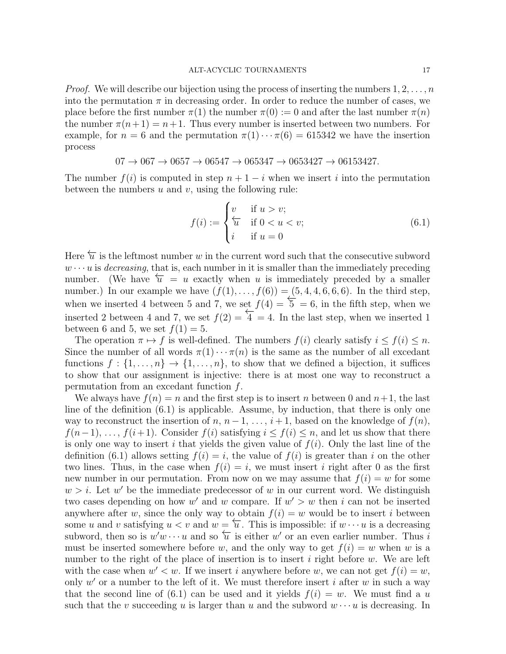*Proof.* We will describe our bijection using the process of inserting the numbers  $1, 2, \ldots, n$ into the permutation  $\pi$  in decreasing order. In order to reduce the number of cases, we place before the first number  $\pi(1)$  the number  $\pi(0) := 0$  and after the last number  $\pi(n)$ the number  $\pi(n+1) = n+1$ . Thus every number is inserted between two numbers. For example, for  $n = 6$  and the permutation  $\pi(1) \cdots \pi(6) = 615342$  we have the insertion process

$$
07 \to 067 \to 0657 \to 06547 \to 065347 \to 0653427 \to 06153427.
$$

The number  $f(i)$  is computed in step  $n + 1 - i$  when we insert i into the permutation between the numbers  $u$  and  $v$ , using the following rule:

$$
f(i) := \begin{cases} v & \text{if } u > v; \\ \overleftarrow{u} & \text{if } 0 < u < v; \\ i & \text{if } u = 0 \end{cases}
$$
 (6.1)

Here  $\overleftarrow{u}$  is the leftmost number w in the current word such that the consecutive subword  $w \cdots u$  is *decreasing*, that is, each number in it is smaller than the immediately preceding number. (We have  $\overleftarrow{u} = u$  exactly when u is immediately preceded by a smaller number.) In our example we have  $(f(1),..., f(6)) = (5, 4, 4, 6, 6, 6)$ . In the third step, when we inserted 4 between 5 and 7, we set  $f(4) = \frac{5}{5} = 6$ , in the fifth step, when we inserted 2 between 4 and 7, we set  $f(2) = \overline{4} = 4$ . In the last step, when we inserted 1 between 6 and 5, we set  $f(1) = 5$ .

The operation  $\pi \mapsto f$  is well-defined. The numbers  $f(i)$  clearly satisfy  $i \leq f(i) \leq n$ . Since the number of all words  $\pi(1)\cdots\pi(n)$  is the same as the number of all excedant functions  $f: \{1, \ldots, n\} \to \{1, \ldots, n\}$ , to show that we defined a bijection, it suffices to show that our assignment is injective: there is at most one way to reconstruct a permutation from an excedant function f.

We always have  $f(n) = n$  and the first step is to insert n between 0 and  $n+1$ , the last line of the definition (6.1) is applicable. Assume, by induction, that there is only one way to reconstruct the insertion of  $n, n-1, \ldots, i+1$ , based on the knowledge of  $f(n)$ ,  $f(n-1), \ldots, f(i+1)$ . Consider  $f(i)$  satisfying  $i \leq f(i) \leq n$ , and let us show that there is only one way to insert i that yields the given value of  $f(i)$ . Only the last line of the definition (6.1) allows setting  $f(i) = i$ , the value of  $f(i)$  is greater than i on the other two lines. Thus, in the case when  $f(i) = i$ , we must insert i right after 0 as the first new number in our permutation. From now on we may assume that  $f(i) = w$  for some  $w > i$ . Let w' be the immediate predecessor of w in our current word. We distinguish two cases depending on how w' and w compare. If  $w' > w$  then i can not be inserted anywhere after w, since the only way to obtain  $f(i) = w$  would be to insert i between some u and v satisfying  $u < v$  and  $w = \overleftarrow{u}$ . This is impossible: if  $w \cdots u$  is a decreasing subword, then so is  $w'w \cdots u$  and so  $\overleftarrow{u}$  is either w' or an even earlier number. Thus is must be inserted somewhere before w, and the only way to get  $f(i) = w$  when w is a number to the right of the place of insertion is to insert i right before  $w$ . We are left with the case when  $w' < w$ . If we insert i anywhere before w, we can not get  $f(i) = w$ , only  $w'$  or a number to the left of it. We must therefore insert i after w in such a way that the second line of (6.1) can be used and it yields  $f(i) = w$ . We must find a u such that the v succeeding u is larger than u and the subword  $w \cdots u$  is decreasing. In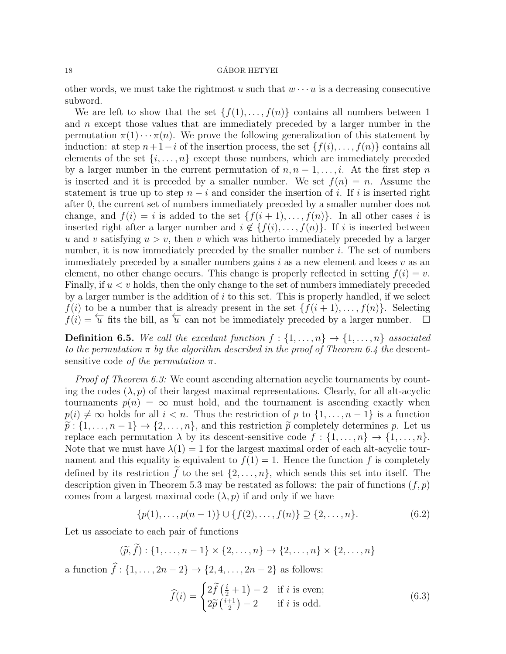other words, we must take the rightmost u such that  $w \cdots u$  is a decreasing consecutive subword.

We are left to show that the set  $\{f(1), \ldots, f(n)\}\)$  contains all numbers between 1 and n except those values that are immediately preceded by a larger number in the permutation  $\pi(1) \cdots \pi(n)$ . We prove the following generalization of this statement by induction: at step  $n + 1 - i$  of the insertion process, the set  $\{f(i), \ldots, f(n)\}\$ contains all elements of the set  $\{i, \ldots, n\}$  except those numbers, which are immediately preceded by a larger number in the current permutation of  $n, n-1, \ldots, i$ . At the first step n is inserted and it is preceded by a smaller number. We set  $f(n) = n$ . Assume the statement is true up to step  $n - i$  and consider the insertion of i. If i is inserted right after 0, the current set of numbers immediately preceded by a smaller number does not change, and  $f(i) = i$  is added to the set  $\{f(i + 1), \ldots, f(n)\}\$ . In all other cases i is inserted right after a larger number and  $i \notin \{f(i), \ldots, f(n)\}\$ . If i is inserted between u and v satisfying  $u > v$ , then v which was hitherto immediately preceded by a larger number, it is now immediately preceded by the smaller number  $i$ . The set of numbers immediately preceded by a smaller numbers gains  $i$  as a new element and loses  $v$  as an element, no other change occurs. This change is properly reflected in setting  $f(i) = v$ . Finally, if  $u < v$  holds, then the only change to the set of numbers immediately preceded by a larger number is the addition of  $i$  to this set. This is properly handled, if we select  $f(i)$  to be a number that is already present in the set  $\{f(i+1), \ldots, f(n)\}\$ . Selecting  $f(i) = \overleftarrow{u}$  fits the bill, as  $\overleftarrow{u}$  can not be immediately preceded by a larger number.  $\Box$ 

**Definition 6.5.** We call the excedant function  $f: \{1, \ldots, n\} \rightarrow \{1, \ldots, n\}$  associated to the permutation  $\pi$  by the algorithm described in the proof of Theorem 6.4 the descentsensitive code of the permutation  $\pi$ .

Proof of Theorem 6.3: We count ascending alternation acyclic tournaments by counting the codes  $(\lambda, p)$  of their largest maximal representations. Clearly, for all alt-acyclic tournaments  $p(n) = \infty$  must hold, and the tournament is ascending exactly when  $p(i) \neq \infty$  holds for all  $i < n$ . Thus the restriction of p to  $\{1, \ldots, n-1\}$  is a function  $\tilde{p}: \{1, \ldots, n-1\} \to \{2, \ldots, n\}$ , and this restriction  $\tilde{p}$  completely determines p. Let us replace each permutation  $\lambda$  by its descent-sensitive code  $f: \{1, \ldots, n\} \to \{1, \ldots, n\}.$ Note that we must have  $\lambda(1) = 1$  for the largest maximal order of each alt-acyclic tournament and this equality is equivalent to  $f(1) = 1$ . Hence the function f is completely defined by its restriction f to the set  $\{2, \ldots, n\}$ , which sends this set into itself. The description given in Theorem 5.3 may be restated as follows: the pair of functions  $(f, p)$ comes from a largest maximal code  $(\lambda, p)$  if and only if we have

$$
\{p(1), \ldots, p(n-1)\} \cup \{f(2), \ldots, f(n)\} \supseteq \{2, \ldots, n\}.
$$
 (6.2)

Let us associate to each pair of functions

$$
(\widetilde{p}, \widetilde{f}) : \{1, \ldots, n-1\} \times \{2, \ldots, n\} \to \{2, \ldots, n\} \times \{2, \ldots, n\}
$$

a function  $f: \{1, \ldots, 2n - 2\} \to \{2, 4, \ldots, 2n - 2\}$  as follows:

$$
\widehat{f}(i) = \begin{cases} 2\widetilde{f}\left(\frac{i}{2} + 1\right) - 2 & \text{if } i \text{ is even;}\\ 2\widetilde{p}\left(\frac{i+1}{2}\right) - 2 & \text{if } i \text{ is odd.} \end{cases}
$$
\n(6.3)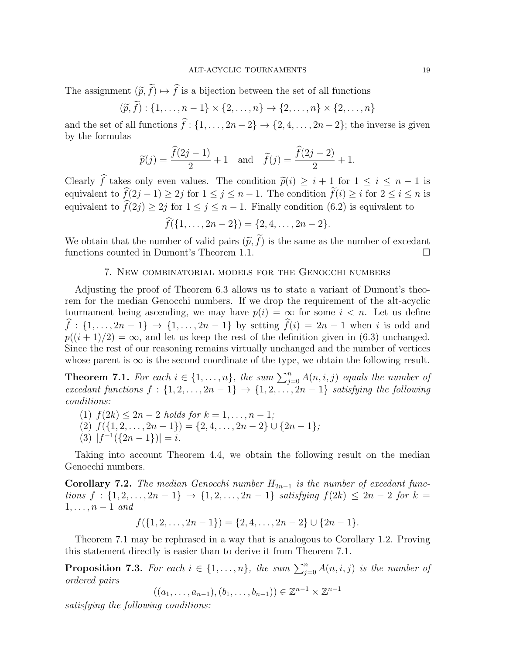The assignment  $(\tilde{p}, \tilde{f}) \mapsto \hat{f}$  is a bijection between the set of all functions

$$
(\widetilde{p}, \widetilde{f}) : \{1, \ldots, n-1\} \times \{2, \ldots, n\} \to \{2, \ldots, n\} \times \{2, \ldots, n\}
$$

and the set of all functions  $\hat{f}: \{1, \ldots, 2n - 2\} \rightarrow \{2, 4, \ldots, 2n - 2\}$ ; the inverse is given by the formulas

$$
\widetilde{p}(j) = \frac{\widehat{f}(2j-1)}{2} + 1
$$
 and  $\widetilde{f}(j) = \frac{\widehat{f}(2j-2)}{2} + 1.$ 

Clearly f takes only even values. The condition  $\tilde{p}(i) \geq i + 1$  for  $1 \leq i \leq n - 1$  is<br>conjugated to  $\hat{f}(2i-1) > 2i$  for  $1 \leq i \leq n-1$ . The condition  $\tilde{f}(i) > i$  for  $2 \leq i \leq n$  is equivalent to  $f(2j - 1) \ge 2j$  for  $1 \le j \le n - 1$ . The condition  $f(i) \ge i$  for  $2 \le i \le n$  is equivalent to  $\widehat{f}(2j) \geq 2j$  for  $1 \leq j \leq n-1$ . Finally condition (6.2) is equivalent to

$$
\widehat{f}(\{1,\ldots,2n-2\})=\{2,4,\ldots,2n-2\}.
$$

We obtain that the number of valid pairs  $(\tilde{p}, \tilde{f})$  is the same as the number of excedant functions counted in Dumont's Theorem 1.1. functions counted in Dumont's Theorem 1.1.

# 7. New combinatorial models for the Genocchi numbers

Adjusting the proof of Theorem 6.3 allows us to state a variant of Dumont's theorem for the median Genocchi numbers. If we drop the requirement of the alt-acyclic tournament being ascending, we may have  $p(i) = \infty$  for some  $i < n$ . Let us define  $\widehat{f}$  : {1, ... , 2n − 1} → {1, ... , 2n − 1} by setting  $\widehat{f}(i) = 2n - 1$  when i is odd and  $p((i+1)/2) = \infty$ , and let us keep the rest of the definition given in (6.3) unchanged. Since the rest of our reasoning remains virtually unchanged and the number of vertices whose parent is  $\infty$  is the second coordinate of the type, we obtain the following result.

**Theorem 7.1.** For each  $i \in \{1, ..., n\}$ , the sum  $\sum_{j=0}^{n} A(n, i, j)$  equals the number of excedant functions  $f : \{1, 2, \ldots, 2n-1\} \rightarrow \{1, 2, \ldots, 2n-1\}$  satisfying the following conditions:

(1)  $f(2k) \leq 2n-2$  holds for  $k = 1, ..., n-1$ ; (2)  $f({1, 2, ..., 2n-1}) = {2, 4, ..., 2n-2} \cup {2n-1};$ (3)  $|f^{-1}(\{2n-1\})|=i.$ 

Taking into account Theorem 4.4, we obtain the following result on the median Genocchi numbers.

Corollary 7.2. The median Genocchi number  $H_{2n-1}$  is the number of excedant functions  $f : \{1, 2, ..., 2n - 1\} \rightarrow \{1, 2, ..., 2n - 1\}$  satisfying  $f(2k) \leq 2n - 2$  for  $k =$  $1, \ldots, n-1$  and

$$
f(\{1,2,\ldots,2n-1\}) = \{2,4,\ldots,2n-2\} \cup \{2n-1\}.
$$

Theorem 7.1 may be rephrased in a way that is analogous to Corollary 1.2. Proving this statement directly is easier than to derive it from Theorem 7.1.

**Proposition 7.3.** For each  $i \in \{1, \ldots, n\}$ , the sum  $\sum_{j=0}^{n} A(n, i, j)$  is the number of ordered pairs

$$
((a_1, \ldots, a_{n-1}), (b_1, \ldots, b_{n-1})) \in \mathbb{Z}^{n-1} \times \mathbb{Z}^{n-1}
$$

satisfying the following conditions: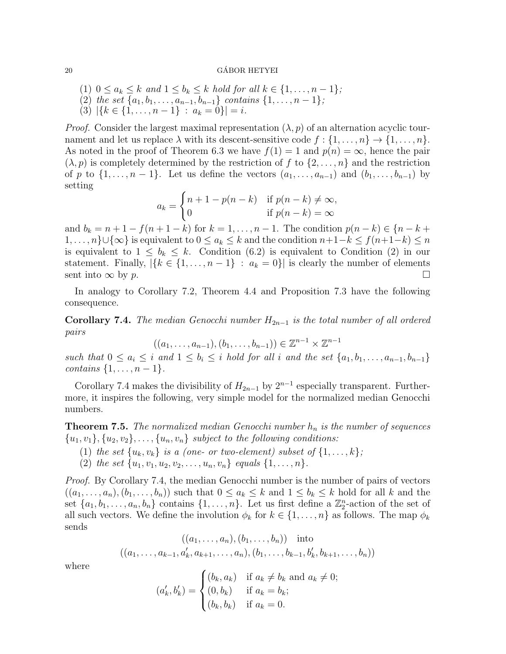## $\alpha$  GÁBOR HETYEI

- (1)  $0 \le a_k \le k$  and  $1 \le b_k \le k$  hold for all  $k \in \{1, \ldots, n-1\}$ ;
- (2) the set  $\{a_1, b_1, \ldots, a_{n-1}, b_{n-1}\}$  contains  $\{1, \ldots, n-1\}$ ;
- (3)  $|\{k \in \{1, \ldots, n-1\} : a_k = 0\}| = i.$

*Proof.* Consider the largest maximal representation  $(\lambda, p)$  of an alternation acyclic tournament and let us replace  $\lambda$  with its descent-sensitive code  $f: \{1, \ldots, n\} \to \{1, \ldots, n\}.$ As noted in the proof of Theorem 6.3 we have  $f(1) = 1$  and  $p(n) = \infty$ , hence the pair  $(\lambda, p)$  is completely determined by the restriction of f to  $\{2, \ldots, n\}$  and the restriction of p to  $\{1,\ldots,n-1\}$ . Let us define the vectors  $(a_1,\ldots,a_{n-1})$  and  $(b_1,\ldots,b_{n-1})$  by setting

$$
a_k = \begin{cases} n+1-p(n-k) & \text{if } p(n-k) \neq \infty, \\ 0 & \text{if } p(n-k) = \infty \end{cases}
$$

and  $b_k = n + 1 - f(n + 1 - k)$  for  $k = 1, ..., n - 1$ . The condition  $p(n - k) \in \{n - k +$  $1, \ldots, n\} \cup \{\infty\}$  is equivalent to  $0 \le a_k \le k$  and the condition  $n+1-k \le f(n+1-k) \le n$ is equivalent to  $1 \leq b_k \leq k$ . Condition (6.2) is equivalent to Condition (2) in our statement. Finally,  $|\{k \in \{1, ..., n-1\} : a_k = 0\}|$  is clearly the number of elements sent into  $\infty$  by p.

In analogy to Corollary 7.2, Theorem 4.4 and Proposition 7.3 have the following consequence.

Corollary 7.4. The median Genocchi number  $H_{2n-1}$  is the total number of all ordered pairs

$$
((a_1, ..., a_{n-1}), (b_1, ..., b_{n-1})) \in \mathbb{Z}^{n-1} \times \mathbb{Z}^{n-1}
$$

such that  $0 \le a_i \le i$  and  $1 \le b_i \le i$  hold for all i and the set  $\{a_1, b_1, \ldots, a_{n-1}, b_{n-1}\}$ contains  $\{1, \ldots, n-1\}.$ 

Corollary 7.4 makes the divisibility of  $H_{2n-1}$  by  $2^{n-1}$  especially transparent. Furthermore, it inspires the following, very simple model for the normalized median Genocchi numbers.

**Theorem 7.5.** The normalized median Genocchi number  $h_n$  is the number of sequences  ${u_1, v_1}, {u_2, v_2}, \ldots, {u_n, v_n}$  subject to the following conditions:

- (1) the set  $\{u_k, v_k\}$  is a (one- or two-element) subset of  $\{1, \ldots, k\}$ ;
- (2) the set  $\{u_1, v_1, u_2, v_2, \ldots, u_n, v_n\}$  equals  $\{1, \ldots, n\}$ .

Proof. By Corollary 7.4, the median Genocchi number is the number of pairs of vectors  $((a_1, \ldots, a_n), (b_1, \ldots, b_n))$  such that  $0 \le a_k \le k$  and  $1 \le b_k \le k$  hold for all k and the set  $\{a_1, b_1, \ldots, a_n, b_n\}$  contains  $\{1, \ldots, n\}$ . Let us first define a  $\mathbb{Z}_2^n$ -action of the set of all such vectors. We define the involution  $\phi_k$  for  $k \in \{1, \ldots, n\}$  as follows. The map  $\phi_k$ sends

$$
((a_1, ..., a_n), (b_1, ..., b_n))
$$
 into  
 $((a_1, ..., a_{k-1}, a'_k, a_{k+1}, ..., a_n), (b_1, ..., b_{k-1}, b'_k, b_{k+1}, ..., b_n))$ 

where

$$
(a'_k, b'_k) = \begin{cases} (b_k, a_k) & \text{if } a_k \neq b_k \text{ and } a_k \neq 0; \\ (0, b_k) & \text{if } a_k = b_k; \\ (b_k, b_k) & \text{if } a_k = 0. \end{cases}
$$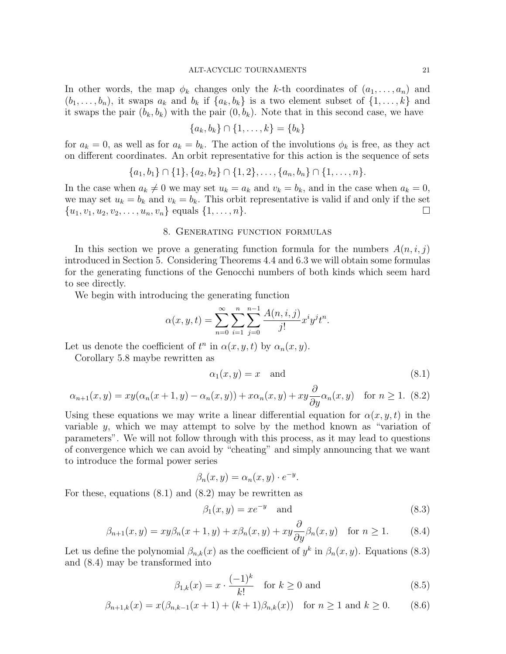In other words, the map  $\phi_k$  changes only the k-th coordinates of  $(a_1, \ldots, a_n)$  and  $(b_1, \ldots, b_n)$ , it swaps  $a_k$  and  $b_k$  if  $\{a_k, b_k\}$  is a two element subset of  $\{1, \ldots, k\}$  and it swaps the pair  $(b_k, b_k)$  with the pair  $(0, b_k)$ . Note that in this second case, we have

$$
\{a_k, b_k\} \cap \{1, \ldots, k\} = \{b_k\}
$$

for  $a_k = 0$ , as well as for  $a_k = b_k$ . The action of the involutions  $\phi_k$  is free, as they act on different coordinates. An orbit representative for this action is the sequence of sets

$$
\{a_1, b_1\} \cap \{1\}, \{a_2, b_2\} \cap \{1, 2\}, \ldots, \{a_n, b_n\} \cap \{1, \ldots, n\}.
$$

In the case when  $a_k \neq 0$  we may set  $u_k = a_k$  and  $v_k = b_k$ , and in the case when  $a_k = 0$ , we may set  $u_k = b_k$  and  $v_k = b_k$ . This orbit representative is valid if and only if the set  $\{u_1, v_1, u_2, v_2, \ldots, u_n, v_n\}$  equals  $\{1, \ldots, n\}.$ 

# 8. Generating function formulas

In this section we prove a generating function formula for the numbers  $A(n, i, j)$ introduced in Section 5. Considering Theorems 4.4 and 6.3 we will obtain some formulas for the generating functions of the Genocchi numbers of both kinds which seem hard to see directly.

We begin with introducing the generating function

$$
\alpha(x, y, t) = \sum_{n=0}^{\infty} \sum_{i=1}^{n} \sum_{j=0}^{n-1} \frac{A(n, i, j)}{j!} x^{i} y^{j} t^{n}.
$$

Let us denote the coefficient of  $t^n$  in  $\alpha(x, y, t)$  by  $\alpha_n(x, y)$ .

Corollary 5.8 maybe rewritten as

$$
\alpha_1(x, y) = x \quad \text{and} \tag{8.1}
$$

$$
\alpha_{n+1}(x,y) = xy(\alpha_n(x+1,y) - \alpha_n(x,y)) + x\alpha_n(x,y) + xy\frac{\partial}{\partial y}\alpha_n(x,y) \quad \text{for } n \ge 1. \tag{8.2}
$$

Using these equations we may write a linear differential equation for  $\alpha(x, y, t)$  in the variable y, which we may attempt to solve by the method known as "variation of parameters". We will not follow through with this process, as it may lead to questions of convergence which we can avoid by "cheating" and simply announcing that we want to introduce the formal power series

$$
\beta_n(x, y) = \alpha_n(x, y) \cdot e^{-y}.
$$

For these, equations (8.1) and (8.2) may be rewritten as

$$
\beta_1(x, y) = x e^{-y} \quad \text{and} \tag{8.3}
$$

$$
\beta_{n+1}(x,y) = xy\beta_n(x+1,y) + x\beta_n(x,y) + xy\frac{\partial}{\partial y}\beta_n(x,y) \quad \text{for } n \ge 1.
$$
 (8.4)

Let us define the polynomial  $\beta_{n,k}(x)$  as the coefficient of  $y^k$  in  $\beta_n(x,y)$ . Equations (8.3) and (8.4) may be transformed into

$$
\beta_{1,k}(x) = x \cdot \frac{(-1)^k}{k!} \quad \text{for } k \ge 0 \text{ and} \tag{8.5}
$$

$$
\beta_{n+1,k}(x) = x(\beta_{n,k-1}(x+1) + (k+1)\beta_{n,k}(x)) \text{ for } n \ge 1 \text{ and } k \ge 0.
$$
 (8.6)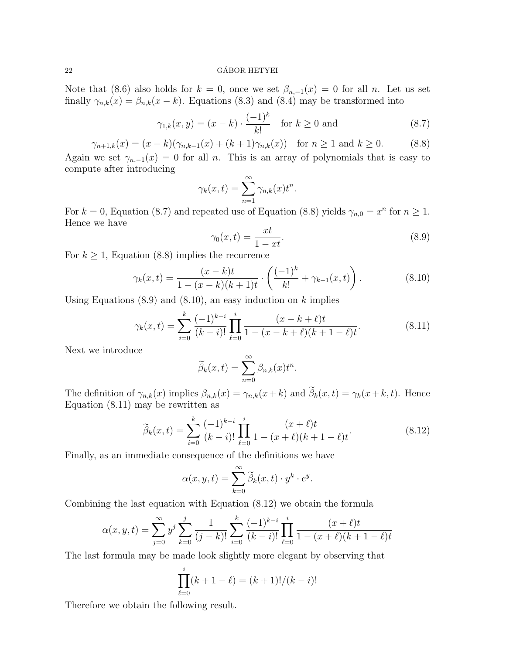## 22 GABOR HETYEI ´

Note that (8.6) also holds for  $k = 0$ , once we set  $\beta_{n,-1}(x) = 0$  for all n. Let us set finally  $\gamma_{n,k}(x) = \beta_{n,k}(x - k)$ . Equations (8.3) and (8.4) may be transformed into

$$
\gamma_{1,k}(x, y) = (x - k) \cdot \frac{(-1)^k}{k!} \quad \text{for } k \ge 0 \text{ and} \tag{8.7}
$$

$$
\gamma_{n+1,k}(x) = (x - k)(\gamma_{n,k-1}(x) + (k+1)\gamma_{n,k}(x)) \text{ for } n \ge 1 \text{ and } k \ge 0.
$$
 (8.8)

Again we set  $\gamma_{n,-1}(x) = 0$  for all n. This is an array of polynomials that is easy to compute after introducing

$$
\gamma_k(x,t) = \sum_{n=1}^{\infty} \gamma_{n,k}(x) t^n.
$$

For  $k = 0$ , Equation (8.7) and repeated use of Equation (8.8) yields  $\gamma_{n,0} = x^n$  for  $n \ge 1$ . Hence we have

$$
\gamma_0(x,t) = \frac{xt}{1 - xt}.\tag{8.9}
$$

For  $k \geq 1$ , Equation (8.8) implies the recurrence

$$
\gamma_k(x,t) = \frac{(x-k)t}{1-(x-k)(k+1)t} \cdot \left(\frac{(-1)^k}{k!} + \gamma_{k-1}(x,t)\right). \tag{8.10}
$$

Using Equations  $(8.9)$  and  $(8.10)$ , an easy induction on k implies

$$
\gamma_k(x,t) = \sum_{i=0}^k \frac{(-1)^{k-i}}{(k-i)!} \prod_{\ell=0}^i \frac{(x-k+\ell)t}{1-(x-k+\ell)(k+1-\ell)t}.
$$
\n(8.11)

Next we introduce

$$
\widetilde{\beta}_k(x,t) = \sum_{n=0}^{\infty} \beta_{n,k}(x) t^n.
$$

The definition of  $\gamma_{n,k}(x)$  implies  $\beta_{n,k}(x) = \gamma_{n,k}(x+k)$  and  $\widetilde{\beta}_k(x,t) = \gamma_k(x+k,t)$ . Hence Equation (8.11) may be rewritten as

$$
\widetilde{\beta}_k(x,t) = \sum_{i=0}^k \frac{(-1)^{k-i}}{(k-i)!} \prod_{\ell=0}^i \frac{(x+\ell)t}{1-(x+\ell)(k+1-\ell)t}.
$$
\n(8.12)

Finally, as an immediate consequence of the definitions we have

$$
\alpha(x, y, t) = \sum_{k=0}^{\infty} \widetilde{\beta}_k(x, t) \cdot y^k \cdot e^y.
$$

Combining the last equation with Equation (8.12) we obtain the formula

$$
\alpha(x, y, t) = \sum_{j=0}^{\infty} y^j \sum_{k=0}^j \frac{1}{(j-k)!} \sum_{i=0}^k \frac{(-1)^{k-i}}{(k-i)!} \prod_{\ell=0}^i \frac{(x+\ell)t}{1-(x+\ell)(k+1-\ell)t}
$$

The last formula may be made look slightly more elegant by observing that

$$
\prod_{\ell=0}^{i} (k+1-\ell) = (k+1)!/(k-i)!
$$

Therefore we obtain the following result.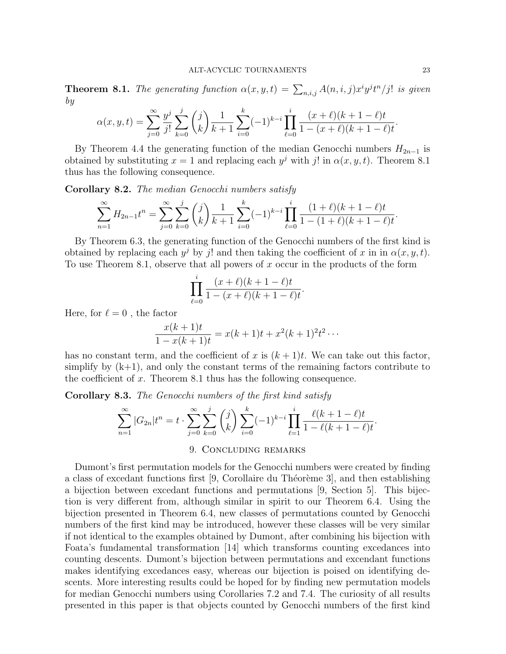**Theorem 8.1.** The generating function  $\alpha(x, y, t) = \sum_{n,i,j} A(n,i,j) x^i y^j t^n / j!$  is given by

$$
\alpha(x, y, t) = \sum_{j=0}^{\infty} \frac{y^j}{j!} \sum_{k=0}^j {j \choose k} \frac{1}{k+1} \sum_{i=0}^k (-1)^{k-i} \prod_{\ell=0}^i \frac{(x+\ell)(k+1-\ell)t}{1-(x+\ell)(k+1-\ell)t}.
$$

By Theorem 4.4 the generating function of the median Genocchi numbers  $H_{2n-1}$  is obtained by substituting  $x = 1$  and replacing each  $y^j$  with j! in  $\alpha(x, y, t)$ . Theorem 8.1 thus has the following consequence.

Corollary 8.2. The median Genocchi numbers satisfy

$$
\sum_{n=1}^{\infty} H_{2n-1}t^n = \sum_{j=0}^{\infty} \sum_{k=0}^{j} {j \choose k} \frac{1}{k+1} \sum_{i=0}^{k} (-1)^{k-i} \prod_{\ell=0}^{i} \frac{(1+\ell)(k+1-\ell)t}{1-(1+\ell)(k+1-\ell)t}.
$$

By Theorem 6.3, the generating function of the Genocchi numbers of the first kind is obtained by replacing each  $y^j$  by j! and then taking the coefficient of x in in  $\alpha(x, y, t)$ . To use Theorem 8.1, observe that all powers of x occur in the products of the form

$$
\prod_{\ell=0}^i \frac{(x+\ell)(k+1-\ell)t}{1-(x+\ell)(k+1-\ell)t}.
$$

Here, for  $\ell = 0$ , the factor

$$
\frac{x(k+1)t}{1-x(k+1)t} = x(k+1)t + x^2(k+1)^2t^2\cdots
$$

has no constant term, and the coefficient of x is  $(k+1)t$ . We can take out this factor, simplify by  $(k+1)$ , and only the constant terms of the remaining factors contribute to the coefficient of  $x$ . Theorem 8.1 thus has the following consequence.

Corollary 8.3. The Genocchi numbers of the first kind satisfy

$$
\sum_{n=1}^{\infty} |G_{2n}| t^n = t \cdot \sum_{j=0}^{\infty} \sum_{k=0}^{j} {j \choose k} \sum_{i=0}^{k} (-1)^{k-i} \prod_{\ell=1}^{i} \frac{\ell(k+1-\ell)t}{1-\ell(k+1-\ell)t}.
$$

# 9. Concluding remarks

Dumont's first permutation models for the Genocchi numbers were created by finding a class of excedant functions first  $[9,$  Corollaire du Théorème 3, and then establishing a bijection between excedant functions and permutations [9, Section 5]. This bijection is very different from, although similar in spirit to our Theorem 6.4. Using the bijection presented in Theorem 6.4, new classes of permutations counted by Genocchi numbers of the first kind may be introduced, however these classes will be very similar if not identical to the examples obtained by Dumont, after combining his bijection with Foata's fundamental transformation [14] which transforms counting excedances into counting descents. Dumont's bijection between permutations and excendant functions makes identifying excedances easy, whereas our bijection is poised on identifying descents. More interesting results could be hoped for by finding new permutation models for median Genocchi numbers using Corollaries 7.2 and 7.4. The curiosity of all results presented in this paper is that objects counted by Genocchi numbers of the first kind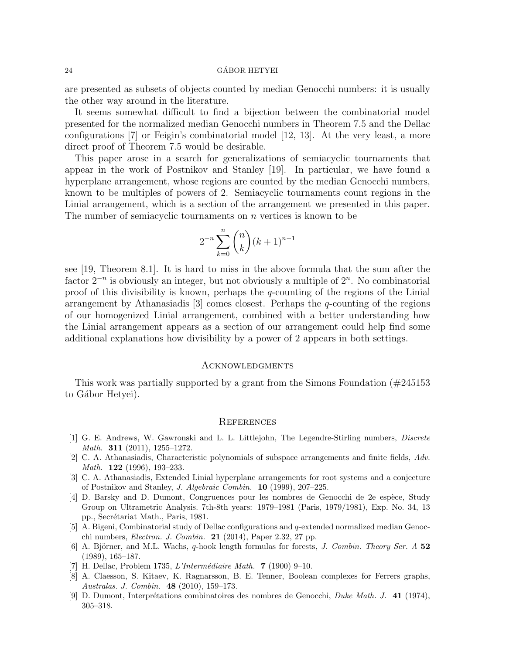are presented as subsets of objects counted by median Genocchi numbers: it is usually the other way around in the literature.

It seems somewhat difficult to find a bijection between the combinatorial model presented for the normalized median Genocchi numbers in Theorem 7.5 and the Dellac configurations [7] or Feigin's combinatorial model [12, 13]. At the very least, a more direct proof of Theorem 7.5 would be desirable.

This paper arose in a search for generalizations of semiacyclic tournaments that appear in the work of Postnikov and Stanley [19]. In particular, we have found a hyperplane arrangement, whose regions are counted by the median Genocchi numbers, known to be multiples of powers of 2. Semiacyclic tournaments count regions in the Linial arrangement, which is a section of the arrangement we presented in this paper. The number of semiacyclic tournaments on  $n$  vertices is known to be

$$
2^{-n} \sum_{k=0}^{n} \binom{n}{k} (k+1)^{n-1}
$$

see [19, Theorem 8.1]. It is hard to miss in the above formula that the sum after the factor  $2^{-n}$  is obviously an integer, but not obviously a multiple of  $2^{n}$ . No combinatorial proof of this divisibility is known, perhaps the  $q$ -counting of the regions of the Linial arrangement by Athanasiadis [3] comes closest. Perhaps the  $q$ -counting of the regions of our homogenized Linial arrangement, combined with a better understanding how the Linial arrangement appears as a section of our arrangement could help find some additional explanations how divisibility by a power of 2 appears in both settings.

#### Acknowledgments

This work was partially supported by a grant from the Simons Foundation  $(\#245153)$ to Gábor Hetyei).

### **REFERENCES**

- [1] G. E. Andrews, W. Gawronski and L. L. Littlejohn, The Legendre-Stirling numbers, Discrete Math. 311 (2011), 1255–1272.
- [2] C. A. Athanasiadis, Characteristic polynomials of subspace arrangements and finite fields, Adv. Math. **122** (1996), 193-233.
- [3] C. A. Athanasiadis, Extended Linial hyperplane arrangements for root systems and a conjecture of Postnikov and Stanley, J. Algebraic Combin. 10 (1999), 207–225.
- [4] D. Barsky and D. Dumont, Congruences pour les nombres de Genocchi de 2e espèce, Study Group on Ultrametric Analysis. 7th-8th years: 1979–1981 (Paris, 1979/1981), Exp. No. 34, 13 pp., Secrétariat Math., Paris, 1981.
- [5] A. Bigeni, Combinatorial study of Dellac configurations and q-extended normalized median Genocchi numbers, Electron. J. Combin. 21 (2014), Paper 2.32, 27 pp.
- [6] A. Björner, and M.L. Wachs, q-hook length formulas for forests, J. Combin. Theory Ser. A 52 (1989), 165–187.
- [7] H. Dellac, Problem 1735, *L'Intermédiaire Math.* **7** (1900) 9–10.
- [8] A. Claesson, S. Kitaev, K. Ragnarsson, B. E. Tenner, Boolean complexes for Ferrers graphs, Australas. J. Combin. 48 (2010), 159–173.
- [9] D. Dumont, Interprétations combinatoires des nombres de Genocchi, Duke Math. J. 41 (1974), 305–318.